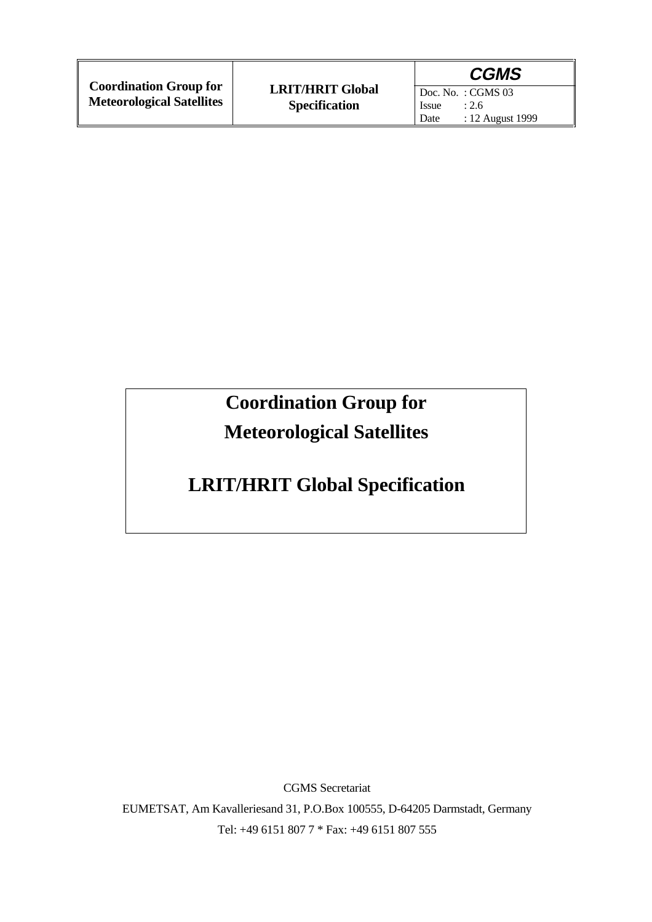|                                                                   |                                                 | <b>CGMS</b>                                                      |
|-------------------------------------------------------------------|-------------------------------------------------|------------------------------------------------------------------|
| <b>Coordination Group for</b><br><b>Meteorological Satellites</b> | <b>LRIT/HRIT Global</b><br><b>Specification</b> | Doc. No. : CGMS 03<br>Issue<br>: 2.6<br>: 12 August 1999<br>Date |

# **Coordination Group for Meteorological Satellites**

# **LRIT/HRIT Global Specification**

CGMS Secretariat EUMETSAT, Am Kavalleriesand 31, P.O.Box 100555, D-64205 Darmstadt, Germany Tel: +49 6151 807 7 \* Fax: +49 6151 807 555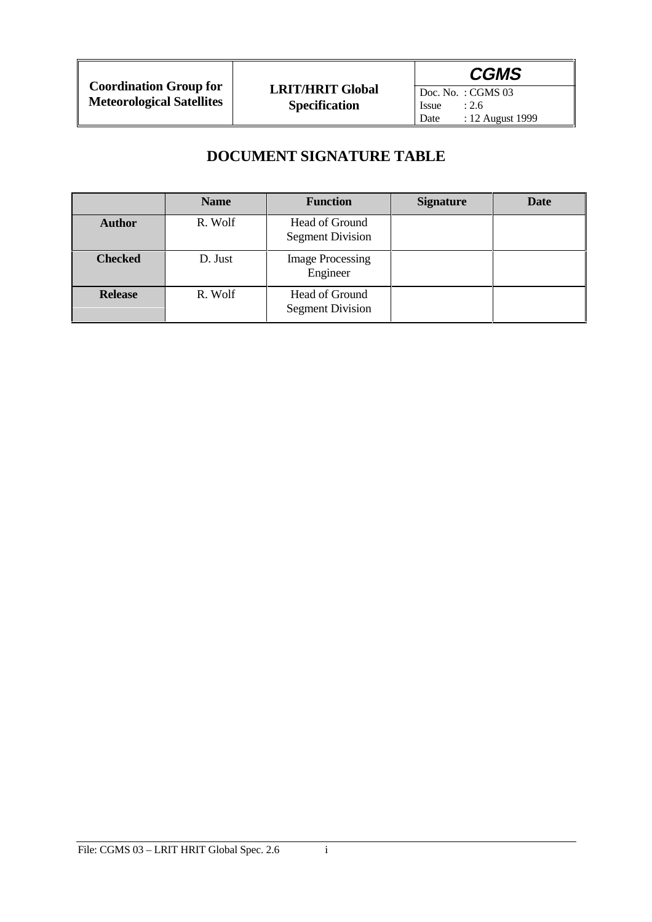Doc. No. : CGMS 03<br>Issue : 2.6 Issue<br>Date : 12 August 1999

# **DOCUMENT SIGNATURE TABLE**

|                | <b>Name</b> | <b>Function</b>                           | <b>Signature</b> | <b>Date</b> |
|----------------|-------------|-------------------------------------------|------------------|-------------|
| <b>Author</b>  | R. Wolf     | Head of Ground<br><b>Segment Division</b> |                  |             |
| <b>Checked</b> | D. Just     | <b>Image Processing</b><br>Engineer       |                  |             |
| <b>Release</b> | R. Wolf     | Head of Ground<br><b>Segment Division</b> |                  |             |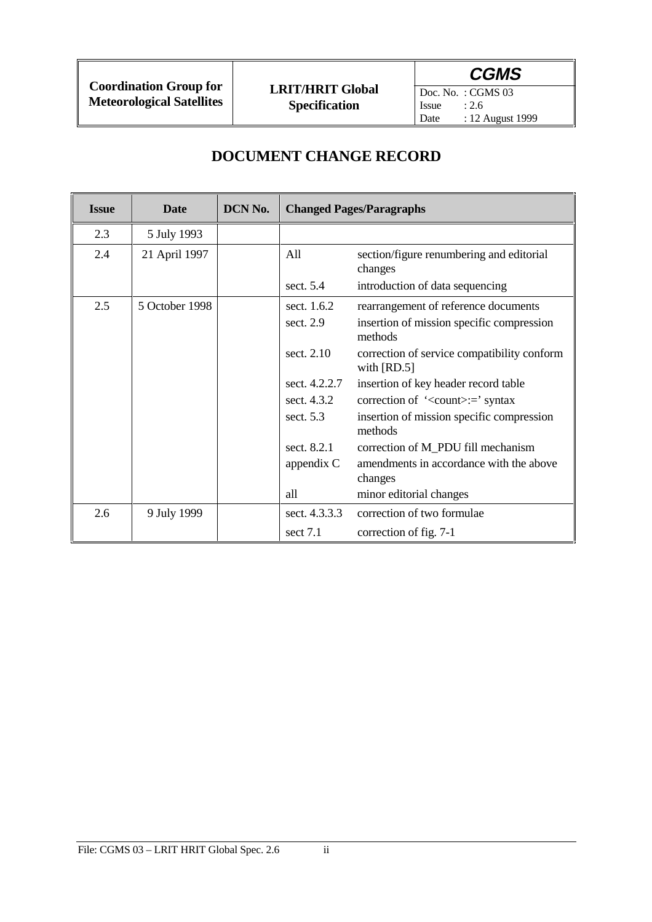Doc. No. : CGMS 03<br>Issue : 2.6 Issue<br>Date  $: 12$  August 1999

# **DOCUMENT CHANGE RECORD**

| <b>Issue</b> | Date           | DCN No. | <b>Changed Pages/Paragraphs</b> |                                                              |
|--------------|----------------|---------|---------------------------------|--------------------------------------------------------------|
| 2.3          | 5 July 1993    |         |                                 |                                                              |
| 2.4          | 21 April 1997  |         | All                             | section/figure renumbering and editorial<br>changes          |
|              |                |         | sect. $5.4$                     | introduction of data sequencing                              |
| 2.5          | 5 October 1998 |         | sect. 1.6.2                     | rearrangement of reference documents                         |
|              |                |         | sect. $2.9$                     | insertion of mission specific compression<br>methods         |
|              |                |         | sect. 2.10                      | correction of service compatibility conform<br>with $[RD.5]$ |
|              |                |         | sect. 4.2.2.7                   | insertion of key header record table                         |
|              |                |         | sect. 4.3.2                     | correction of ' <count>:=' syntax</count>                    |
|              |                |         | sect. 5.3                       | insertion of mission specific compression<br>methods         |
|              |                |         | sect. 8.2.1                     | correction of M_PDU fill mechanism                           |
|              |                |         | appendix C                      | amendments in accordance with the above<br>changes           |
|              |                |         | all                             | minor editorial changes                                      |
| 2.6          | 9 July 1999    |         | sect. 4.3.3.3                   | correction of two formulae                                   |
|              |                |         | sect $7.1$                      | correction of fig. 7-1                                       |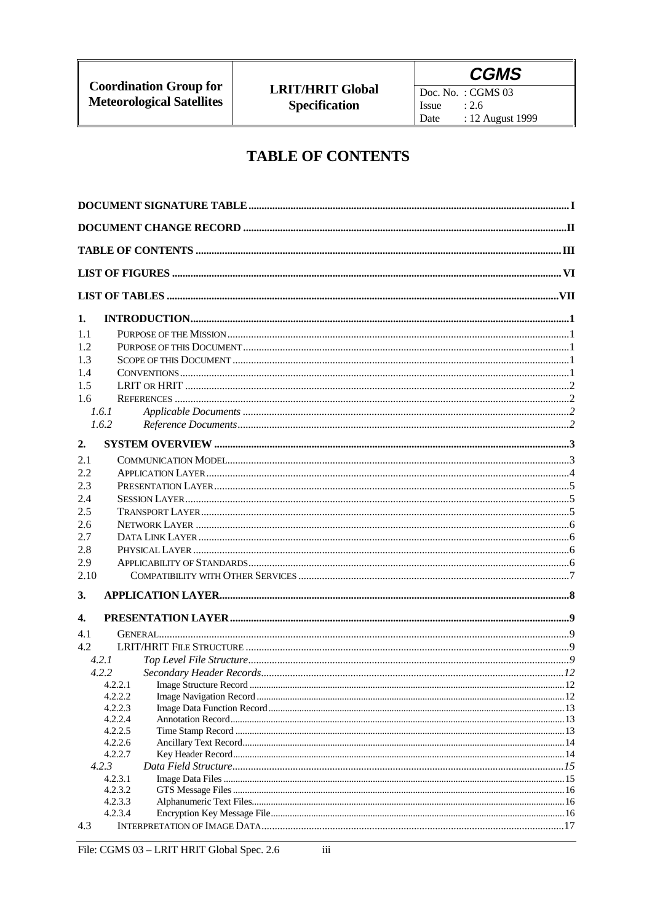Doc. No. : CGMS  $03$ Issue  $: 2.6$ : 12 August 1999 Date

### **TABLE OF CONTENTS**

| 1.   |                    |  |
|------|--------------------|--|
| 1.1  |                    |  |
| 1.2  |                    |  |
| 1.3  |                    |  |
| 1.4  |                    |  |
| 1.5  |                    |  |
| 1.6  |                    |  |
|      | 1.6.1              |  |
|      | 1.6.2              |  |
| 2.   |                    |  |
| 2.1  |                    |  |
| 2.2  |                    |  |
| 2.3  |                    |  |
| 2.4  |                    |  |
| 2.5  |                    |  |
| 2.6  |                    |  |
| 2.7  |                    |  |
| 2.8  |                    |  |
| 2.9  |                    |  |
| 2.10 |                    |  |
| 3.   |                    |  |
| 4.   |                    |  |
| 4.1  |                    |  |
| 4.2  |                    |  |
|      | 4.2.1              |  |
|      | 4.2.2              |  |
|      | 4.2.2.1            |  |
|      | 4.2.2.2            |  |
|      | 4.2.2.3<br>4.2.2.4 |  |
|      | 4.2.2.5            |  |
|      | 4.2.2.6            |  |
|      | 4.2.2.7            |  |
|      | 4.2.3              |  |
|      | 4.2.3.1            |  |
|      | 4.2.3.2            |  |
|      | 4.2.3.3<br>4.2.3.4 |  |
| 4.3  |                    |  |
|      |                    |  |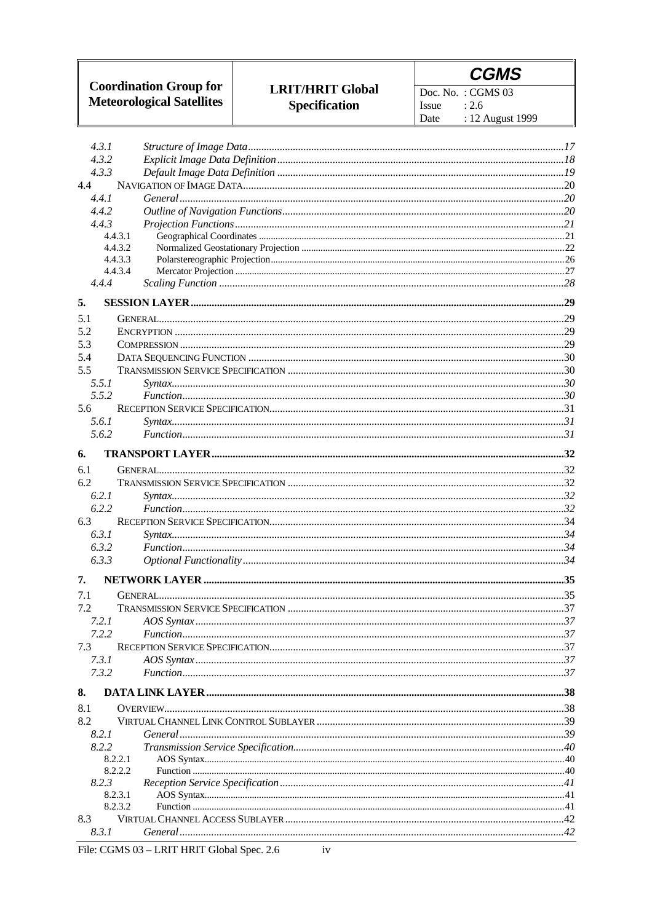

Doc. No. : CGMS  $03$ Issue  $: 2.6$ : 12 August 1999 Date

| 4.3.2<br>4.3.3<br>4.4<br>4.4.1<br>4.4.2<br>4.4.3<br>4.4.3.1<br>4.4.3.2<br>4.4.3.3<br>4.4.3.4<br>4.4.4<br>5.<br>5.1<br>5.2<br>5.3<br>5.4<br>5.5<br>5.5.1<br>5.5.2<br>5.6<br>5.6.1<br>5.6.2<br>6.<br>6.1<br>6.2<br>6.2.1<br>6.2.2<br>6.3<br>6.3.1<br>6.3.2<br>6.3.3<br>7.<br>7.1<br>7.2<br>7.2.1<br>7.2.2<br>7.3<br>7.3.1<br>7.3.2<br>8.1<br>8.2<br>8.2.1<br>8.2.2<br>8.2.2.1<br>8.2.2.2<br>8.2.3<br>8.2.3.1<br>8.2.3.2<br>8.3<br>8.3.1 | 4.3.1 |  |
|---------------------------------------------------------------------------------------------------------------------------------------------------------------------------------------------------------------------------------------------------------------------------------------------------------------------------------------------------------------------------------------------------------------------------------------|-------|--|
|                                                                                                                                                                                                                                                                                                                                                                                                                                       |       |  |
|                                                                                                                                                                                                                                                                                                                                                                                                                                       |       |  |
|                                                                                                                                                                                                                                                                                                                                                                                                                                       |       |  |
|                                                                                                                                                                                                                                                                                                                                                                                                                                       |       |  |
|                                                                                                                                                                                                                                                                                                                                                                                                                                       |       |  |
|                                                                                                                                                                                                                                                                                                                                                                                                                                       |       |  |
|                                                                                                                                                                                                                                                                                                                                                                                                                                       |       |  |
|                                                                                                                                                                                                                                                                                                                                                                                                                                       |       |  |
|                                                                                                                                                                                                                                                                                                                                                                                                                                       |       |  |
|                                                                                                                                                                                                                                                                                                                                                                                                                                       |       |  |
|                                                                                                                                                                                                                                                                                                                                                                                                                                       |       |  |
|                                                                                                                                                                                                                                                                                                                                                                                                                                       |       |  |
|                                                                                                                                                                                                                                                                                                                                                                                                                                       |       |  |
|                                                                                                                                                                                                                                                                                                                                                                                                                                       |       |  |
|                                                                                                                                                                                                                                                                                                                                                                                                                                       |       |  |
|                                                                                                                                                                                                                                                                                                                                                                                                                                       |       |  |
|                                                                                                                                                                                                                                                                                                                                                                                                                                       |       |  |
|                                                                                                                                                                                                                                                                                                                                                                                                                                       |       |  |
|                                                                                                                                                                                                                                                                                                                                                                                                                                       |       |  |
|                                                                                                                                                                                                                                                                                                                                                                                                                                       |       |  |
|                                                                                                                                                                                                                                                                                                                                                                                                                                       |       |  |
|                                                                                                                                                                                                                                                                                                                                                                                                                                       |       |  |
|                                                                                                                                                                                                                                                                                                                                                                                                                                       |       |  |
|                                                                                                                                                                                                                                                                                                                                                                                                                                       |       |  |
|                                                                                                                                                                                                                                                                                                                                                                                                                                       |       |  |
|                                                                                                                                                                                                                                                                                                                                                                                                                                       |       |  |
|                                                                                                                                                                                                                                                                                                                                                                                                                                       |       |  |
|                                                                                                                                                                                                                                                                                                                                                                                                                                       |       |  |
|                                                                                                                                                                                                                                                                                                                                                                                                                                       |       |  |
|                                                                                                                                                                                                                                                                                                                                                                                                                                       |       |  |
|                                                                                                                                                                                                                                                                                                                                                                                                                                       |       |  |
|                                                                                                                                                                                                                                                                                                                                                                                                                                       |       |  |
|                                                                                                                                                                                                                                                                                                                                                                                                                                       |       |  |
|                                                                                                                                                                                                                                                                                                                                                                                                                                       |       |  |
|                                                                                                                                                                                                                                                                                                                                                                                                                                       |       |  |
|                                                                                                                                                                                                                                                                                                                                                                                                                                       |       |  |
|                                                                                                                                                                                                                                                                                                                                                                                                                                       |       |  |
|                                                                                                                                                                                                                                                                                                                                                                                                                                       |       |  |
|                                                                                                                                                                                                                                                                                                                                                                                                                                       |       |  |
|                                                                                                                                                                                                                                                                                                                                                                                                                                       |       |  |
|                                                                                                                                                                                                                                                                                                                                                                                                                                       | 8.    |  |
|                                                                                                                                                                                                                                                                                                                                                                                                                                       |       |  |
|                                                                                                                                                                                                                                                                                                                                                                                                                                       |       |  |
|                                                                                                                                                                                                                                                                                                                                                                                                                                       |       |  |
|                                                                                                                                                                                                                                                                                                                                                                                                                                       |       |  |
|                                                                                                                                                                                                                                                                                                                                                                                                                                       |       |  |
|                                                                                                                                                                                                                                                                                                                                                                                                                                       |       |  |
|                                                                                                                                                                                                                                                                                                                                                                                                                                       |       |  |
|                                                                                                                                                                                                                                                                                                                                                                                                                                       |       |  |
|                                                                                                                                                                                                                                                                                                                                                                                                                                       |       |  |
|                                                                                                                                                                                                                                                                                                                                                                                                                                       |       |  |
|                                                                                                                                                                                                                                                                                                                                                                                                                                       |       |  |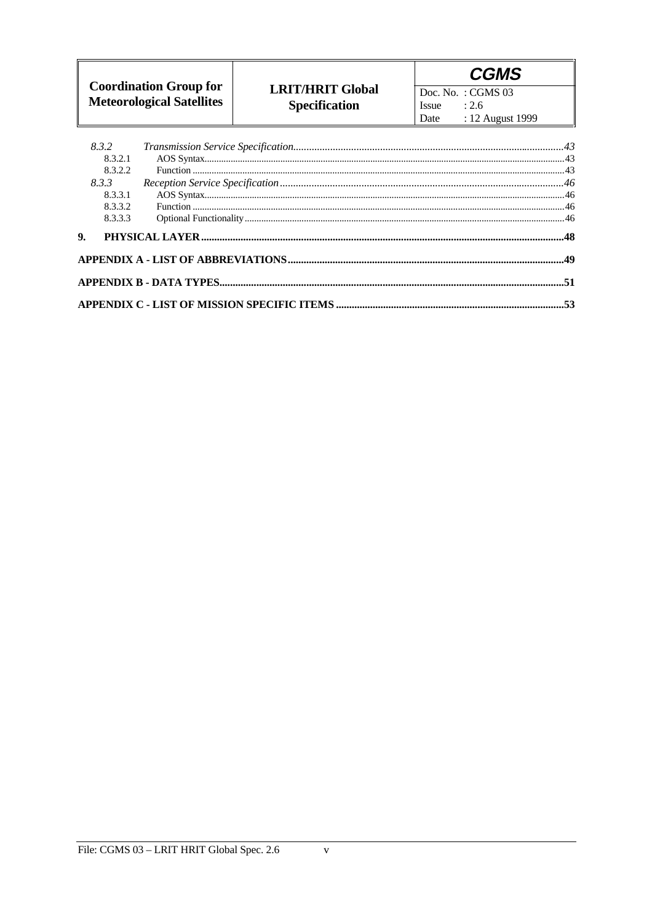|                                                                   |                                                 | <b>CGMS</b>                                                                   |
|-------------------------------------------------------------------|-------------------------------------------------|-------------------------------------------------------------------------------|
| <b>Coordination Group for</b><br><b>Meteorological Satellites</b> | <b>LRIT/HRIT Global</b><br><b>Specification</b> | $\vert$ Doc. No.: CGMS 03<br>: 2.6<br><i>ssue</i><br>: 12 August 1999<br>Date |

| 8.3.2   |  |
|---------|--|
| 8.3.2.1 |  |
| 8.3.2.2 |  |
| 8.3.3   |  |
| 8.3.3.1 |  |
| 8.3.3.2 |  |
| 8.3.3.3 |  |
|         |  |
|         |  |
|         |  |
|         |  |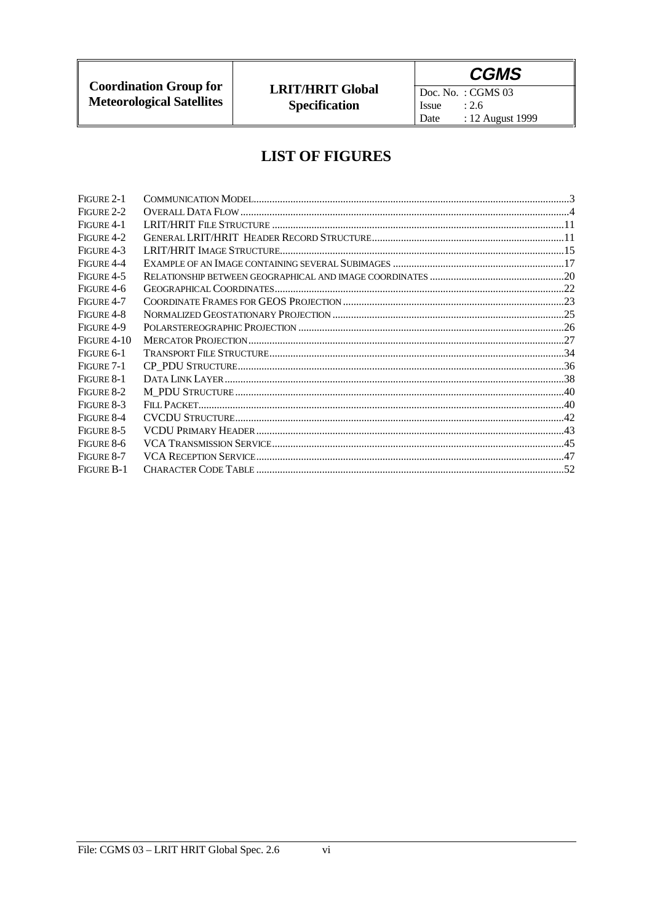# **CGMS**

Doc. No. : CGMS  $03$ Issue  $: 2.6$ : 12 August 1999 Date

## **LIST OF FIGURES**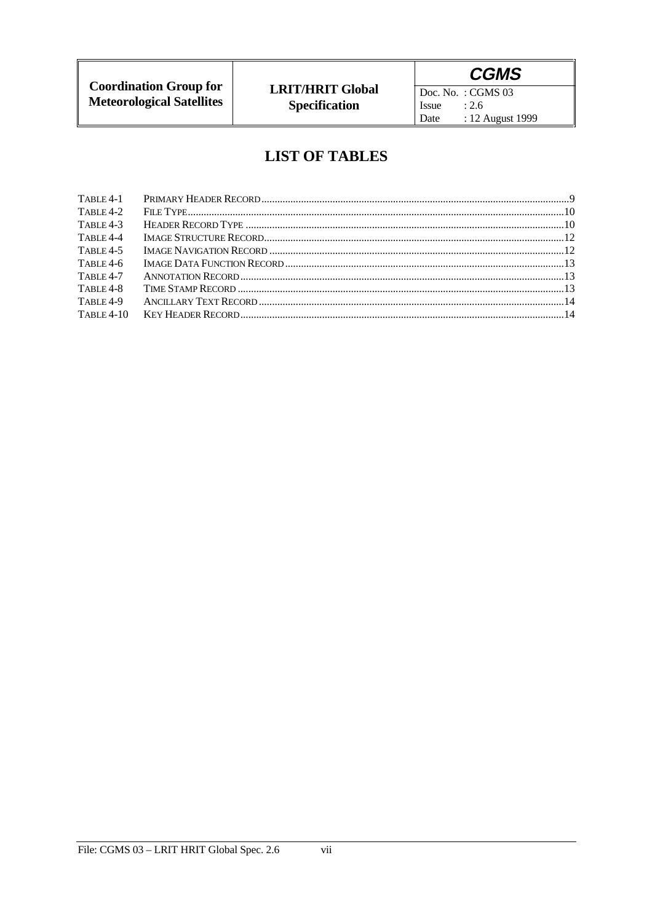# **CGMS**

Doc. No. : CGMS  $03$ Issue  $: 2.6$ : 12 August 1999 Date

### **LIST OF TABLES**

| $TABLE 4-1$  |  |
|--------------|--|
| TABLE $4-2$  |  |
| $TABLE 4-3$  |  |
| TABLE 4-4    |  |
| $TABLE 4-5$  |  |
| TABLE 4-6    |  |
| TABLE 4-7    |  |
| TABLE 4-8    |  |
| TABLE 4-9    |  |
| $TABLE 4-10$ |  |
|              |  |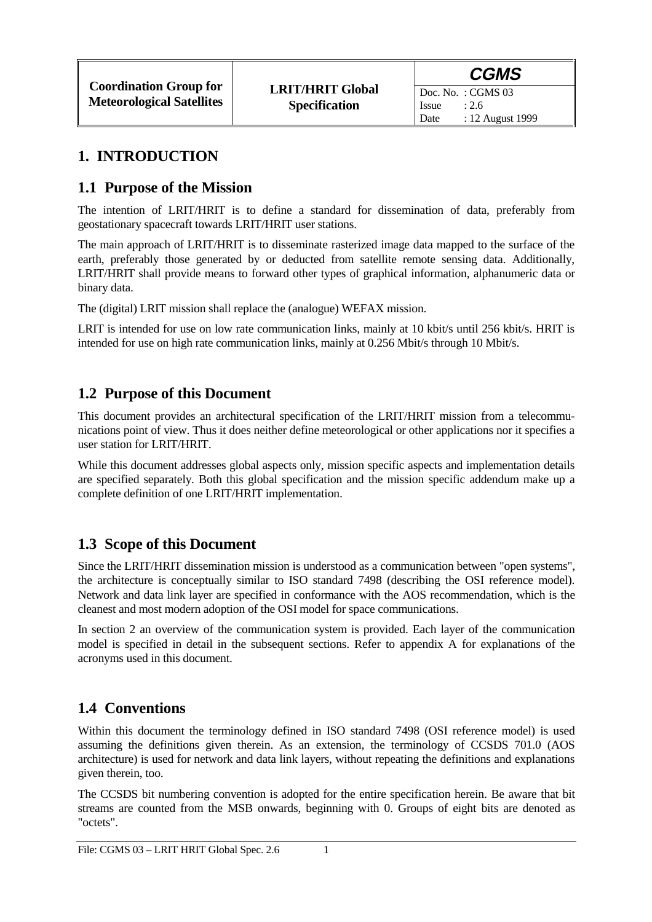Date : 12 August 1999

## **1. INTRODUCTION**

### **1.1 Purpose of the Mission**

The intention of LRIT/HRIT is to define a standard for dissemination of data, preferably from geostationary spacecraft towards LRIT/HRIT user stations.

The main approach of LRIT/HRIT is to disseminate rasterized image data mapped to the surface of the earth, preferably those generated by or deducted from satellite remote sensing data. Additionally, LRIT/HRIT shall provide means to forward other types of graphical information, alphanumeric data or binary data.

The (digital) LRIT mission shall replace the (analogue) WEFAX mission.

LRIT is intended for use on low rate communication links, mainly at 10 kbit/s until 256 kbit/s. HRIT is intended for use on high rate communication links, mainly at 0.256 Mbit/s through 10 Mbit/s.

### **1.2 Purpose of this Document**

This document provides an architectural specification of the LRIT/HRIT mission from a telecommunications point of view. Thus it does neither define meteorological or other applications nor it specifies a user station for LRIT/HRIT.

While this document addresses global aspects only, mission specific aspects and implementation details are specified separately. Both this global specification and the mission specific addendum make up a complete definition of one LRIT/HRIT implementation.

### **1.3 Scope of this Document**

Since the LRIT/HRIT dissemination mission is understood as a communication between "open systems", the architecture is conceptually similar to ISO standard 7498 (describing the OSI reference model). Network and data link layer are specified in conformance with the AOS recommendation, which is the cleanest and most modern adoption of the OSI model for space communications.

In section 2 an overview of the communication system is provided. Each layer of the communication model is specified in detail in the subsequent sections. Refer to appendix A for explanations of the acronyms used in this document.

# **1.4 Conventions**

Within this document the terminology defined in ISO standard 7498 (OSI reference model) is used assuming the definitions given therein. As an extension, the terminology of CCSDS 701.0 (AOS architecture) is used for network and data link layers, without repeating the definitions and explanations given therein, too.

The CCSDS bit numbering convention is adopted for the entire specification herein. Be aware that bit streams are counted from the MSB onwards, beginning with 0. Groups of eight bits are denoted as "octets".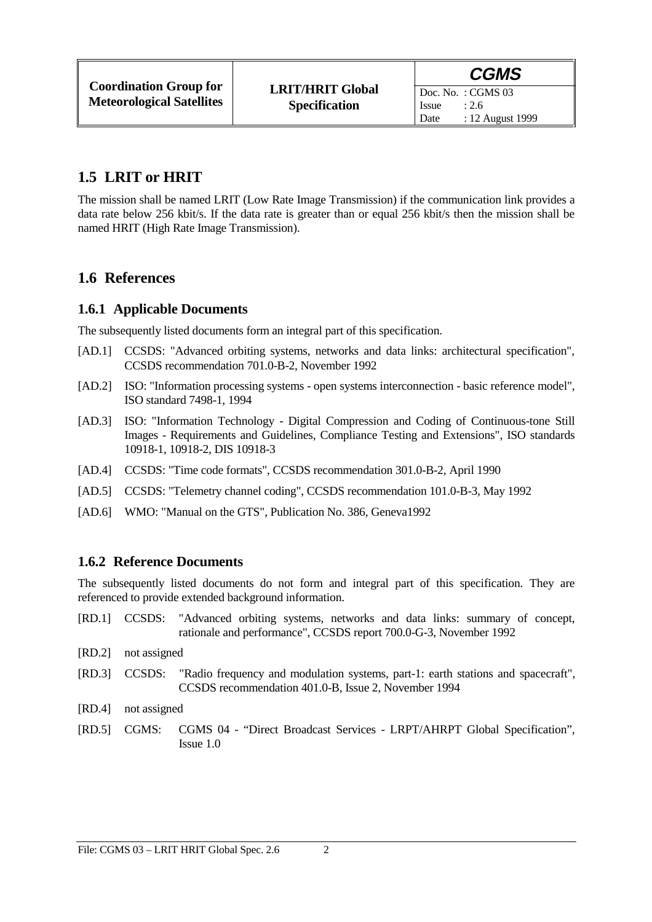### **1.5 LRIT or HRIT**

The mission shall be named LRIT (Low Rate Image Transmission) if the communication link provides a data rate below 256 kbit/s. If the data rate is greater than or equal 256 kbit/s then the mission shall be named HRIT (High Rate Image Transmission).

### **1.6 References**

### **1.6.1 Applicable Documents**

The subsequently listed documents form an integral part of this specification.

- [AD.1] CCSDS: "Advanced orbiting systems, networks and data links: architectural specification", CCSDS recommendation 701.0-B-2, November 1992
- [AD.2] ISO: "Information processing systems open systems interconnection basic reference model", ISO standard 7498-1, 1994
- [AD.3] ISO: "Information Technology Digital Compression and Coding of Continuous-tone Still Images - Requirements and Guidelines, Compliance Testing and Extensions", ISO standards 10918-1, 10918-2, DIS 10918-3
- [AD.4] CCSDS: "Time code formats", CCSDS recommendation 301.0-B-2, April 1990
- [AD.5] CCSDS: "Telemetry channel coding", CCSDS recommendation 101.0-B-3, May 1992
- [AD.6] WMO: "Manual on the GTS", Publication No. 386, Geneva1992

### **1.6.2 Reference Documents**

The subsequently listed documents do not form and integral part of this specification. They are referenced to provide extended background information.

- [RD.1] CCSDS: "Advanced orbiting systems, networks and data links: summary of concept, rationale and performance", CCSDS report 700.0-G-3, November 1992
- [RD.2] not assigned
- [RD.3] CCSDS: "Radio frequency and modulation systems, part-1: earth stations and spacecraft", CCSDS recommendation 401.0-B, Issue 2, November 1994
- [RD.4] not assigned
- [RD.5] CGMS: CGMS 04 "Direct Broadcast Services LRPT/AHRPT Global Specification", Issue 1.0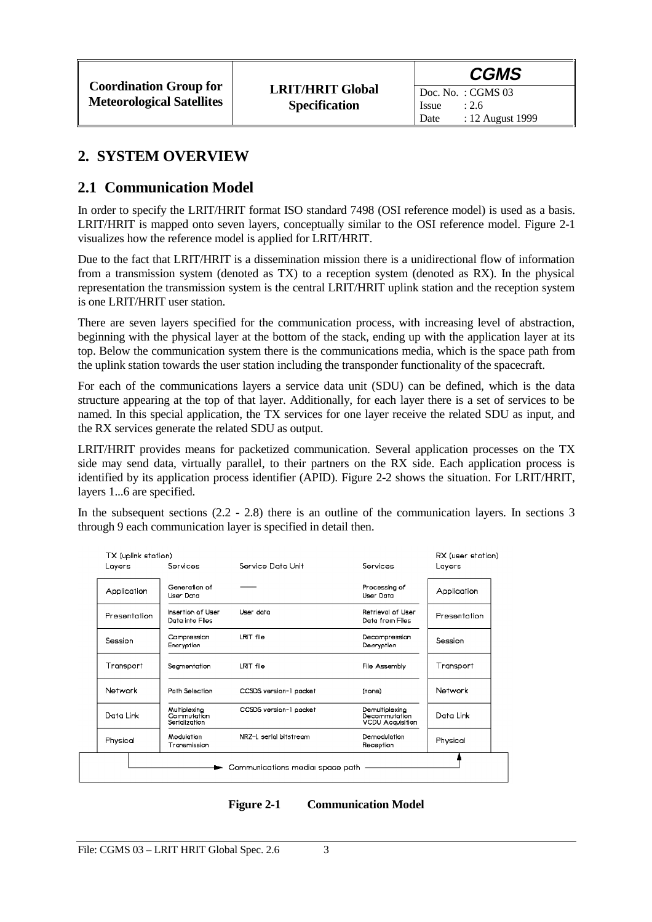### **2. SYSTEM OVERVIEW**

### **2.1 Communication Model**

In order to specify the LRIT/HRIT format ISO standard 7498 (OSI reference model) is used as a basis. LRIT/HRIT is mapped onto seven layers, conceptually similar to the OSI reference model. Figure 2-1 visualizes how the reference model is applied for LRIT/HRIT.

Due to the fact that LRIT/HRIT is a dissemination mission there is a unidirectional flow of information from a transmission system (denoted as TX) to a reception system (denoted as RX). In the physical representation the transmission system is the central LRIT/HRIT uplink station and the reception system is one LRIT/HRIT user station.

There are seven layers specified for the communication process, with increasing level of abstraction, beginning with the physical layer at the bottom of the stack, ending up with the application layer at its top. Below the communication system there is the communications media, which is the space path from the uplink station towards the user station including the transponder functionality of the spacecraft.

For each of the communications layers a service data unit (SDU) can be defined, which is the data structure appearing at the top of that layer. Additionally, for each layer there is a set of services to be named. In this special application, the TX services for one layer receive the related SDU as input, and the RX services generate the related SDU as output.

LRIT/HRIT provides means for packetized communication. Several application processes on the TX side may send data, virtually parallel, to their partners on the RX side. Each application process is identified by its application process identifier (APID). Figure 2-2 shows the situation. For LRIT/HRIT, layers 1...6 are specified.

In the subsequent sections  $(2.2 - 2.8)$  there is an outline of the communication layers. In sections 3 through 9 each communication layer is specified in detail then.

| Layers       | Services                                     | Service Dota Unit      | Services                                                   | Layers       |
|--------------|----------------------------------------------|------------------------|------------------------------------------------------------|--------------|
| Application  | Generation of<br>Llser Doto                  |                        | Processing of<br>User Dota                                 | Application  |
| Presentation | Insertion of User<br>Data into Files         | User doto              | <b>Retrieval of Liser</b><br>Data from Files               | Presentation |
| Session      | Compression<br>Eneryptian                    | LRIT file              | Decompression<br>Decryption                                | Session      |
| Transport    | Segmentation                                 | LRIT file              | File Assembly                                              | Transport    |
| Natwork      | Path Selection                               | CCSDS version-1 pocket | (none)                                                     | Natwork      |
| Data Link    | Multiplexing<br>Commutation<br>Serialization | CCSDS version-1 pocket | Demultiplexing<br>Decommutation<br><b>VCDU Acquisition</b> | Data Link    |
| Physical     | Modulation<br>Transmission                   | NR7-I serial bitstream | Demodulation<br>Reception                                  | Physical     |

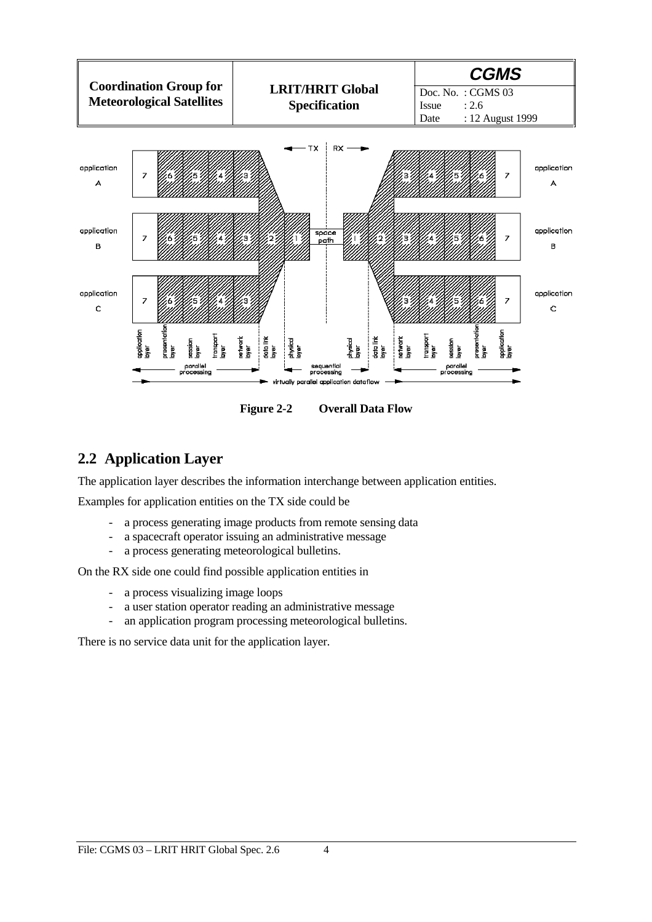

**Figure 2-2 Overall Data Flow**

### **2.2 Application Layer**

The application layer describes the information interchange between application entities.

Examples for application entities on the TX side could be

- a process generating image products from remote sensing data
- a spacecraft operator issuing an administrative message
- a process generating meteorological bulletins.

On the RX side one could find possible application entities in

- a process visualizing image loops
- a user station operator reading an administrative message
- an application program processing meteorological bulletins.

There is no service data unit for the application layer.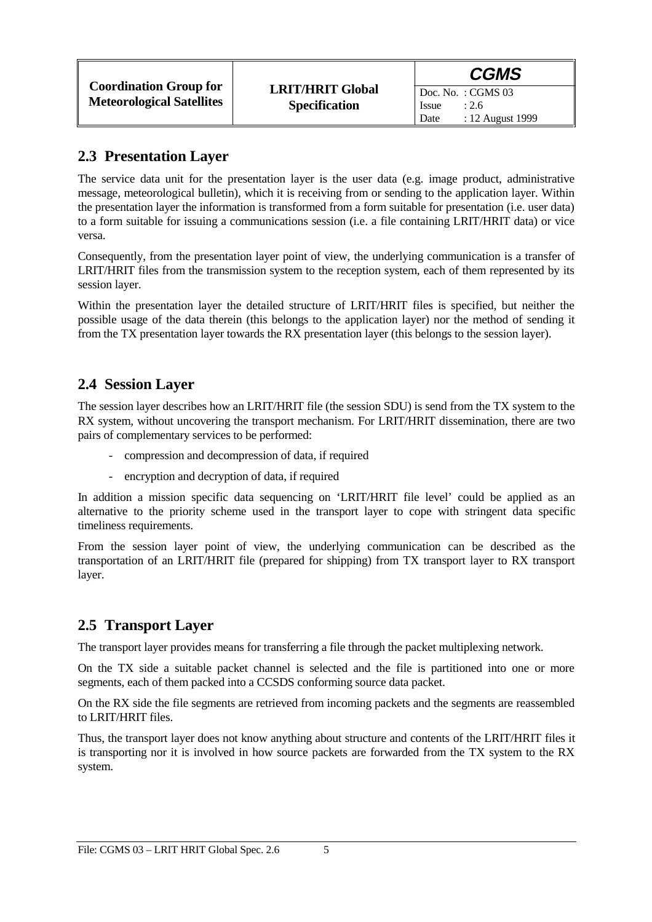### **2.3 Presentation Layer**

The service data unit for the presentation layer is the user data (e.g. image product, administrative message, meteorological bulletin), which it is receiving from or sending to the application layer. Within the presentation layer the information is transformed from a form suitable for presentation (i.e. user data) to a form suitable for issuing a communications session (i.e. a file containing LRIT/HRIT data) or vice versa.

Consequently, from the presentation layer point of view, the underlying communication is a transfer of LRIT/HRIT files from the transmission system to the reception system, each of them represented by its session layer.

Within the presentation layer the detailed structure of LRIT/HRIT files is specified, but neither the possible usage of the data therein (this belongs to the application layer) nor the method of sending it from the TX presentation layer towards the RX presentation layer (this belongs to the session layer).

### **2.4 Session Layer**

The session layer describes how an LRIT/HRIT file (the session SDU) is send from the TX system to the RX system, without uncovering the transport mechanism. For LRIT/HRIT dissemination, there are two pairs of complementary services to be performed:

- compression and decompression of data, if required
- encryption and decryption of data, if required

In addition a mission specific data sequencing on 'LRIT/HRIT file level' could be applied as an alternative to the priority scheme used in the transport layer to cope with stringent data specific timeliness requirements.

From the session layer point of view, the underlying communication can be described as the transportation of an LRIT/HRIT file (prepared for shipping) from TX transport layer to RX transport layer.

### **2.5 Transport Layer**

The transport layer provides means for transferring a file through the packet multiplexing network.

On the TX side a suitable packet channel is selected and the file is partitioned into one or more segments, each of them packed into a CCSDS conforming source data packet.

On the RX side the file segments are retrieved from incoming packets and the segments are reassembled to LRIT/HRIT files.

Thus, the transport layer does not know anything about structure and contents of the LRIT/HRIT files it is transporting nor it is involved in how source packets are forwarded from the TX system to the RX system.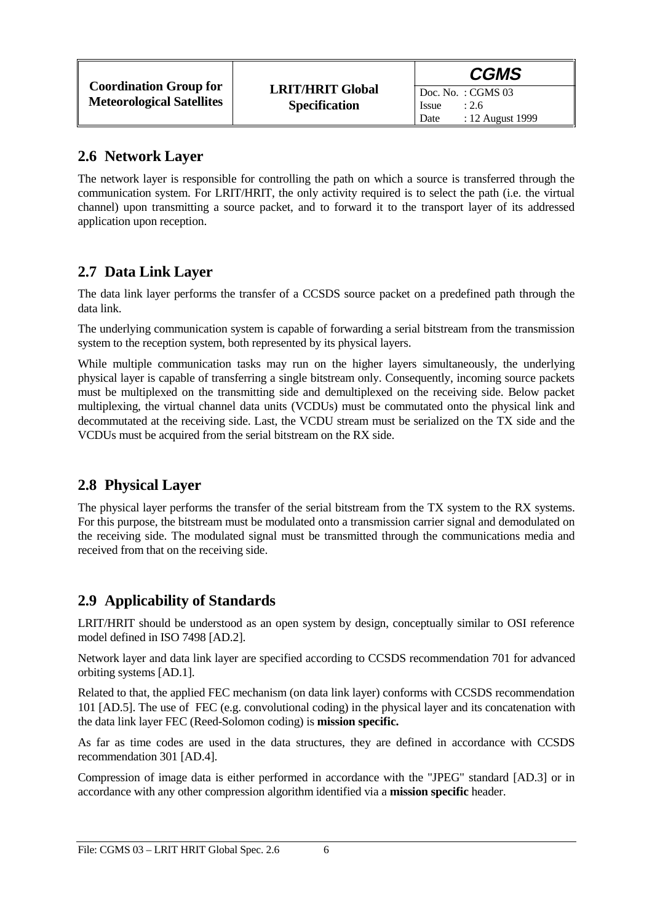### **2.6 Network Layer**

The network layer is responsible for controlling the path on which a source is transferred through the communication system. For LRIT/HRIT, the only activity required is to select the path (i.e. the virtual channel) upon transmitting a source packet, and to forward it to the transport layer of its addressed application upon reception.

### **2.7 Data Link Layer**

The data link layer performs the transfer of a CCSDS source packet on a predefined path through the data link.

The underlying communication system is capable of forwarding a serial bitstream from the transmission system to the reception system, both represented by its physical layers.

While multiple communication tasks may run on the higher layers simultaneously, the underlying physical layer is capable of transferring a single bitstream only. Consequently, incoming source packets must be multiplexed on the transmitting side and demultiplexed on the receiving side. Below packet multiplexing, the virtual channel data units (VCDUs) must be commutated onto the physical link and decommutated at the receiving side. Last, the VCDU stream must be serialized on the TX side and the VCDUs must be acquired from the serial bitstream on the RX side.

### **2.8 Physical Layer**

The physical layer performs the transfer of the serial bitstream from the TX system to the RX systems. For this purpose, the bitstream must be modulated onto a transmission carrier signal and demodulated on the receiving side. The modulated signal must be transmitted through the communications media and received from that on the receiving side.

### **2.9 Applicability of Standards**

LRIT/HRIT should be understood as an open system by design, conceptually similar to OSI reference model defined in ISO 7498 [AD.2].

Network layer and data link layer are specified according to CCSDS recommendation 701 for advanced orbiting systems [AD.1].

Related to that, the applied FEC mechanism (on data link layer) conforms with CCSDS recommendation 101 [AD.5]. The use of FEC (e.g. convolutional coding) in the physical layer and its concatenation with the data link layer FEC (Reed-Solomon coding) is **mission specific.**

As far as time codes are used in the data structures, they are defined in accordance with CCSDS recommendation 301 [AD.4].

Compression of image data is either performed in accordance with the "JPEG" standard [AD.3] or in accordance with any other compression algorithm identified via a **mission specific** header.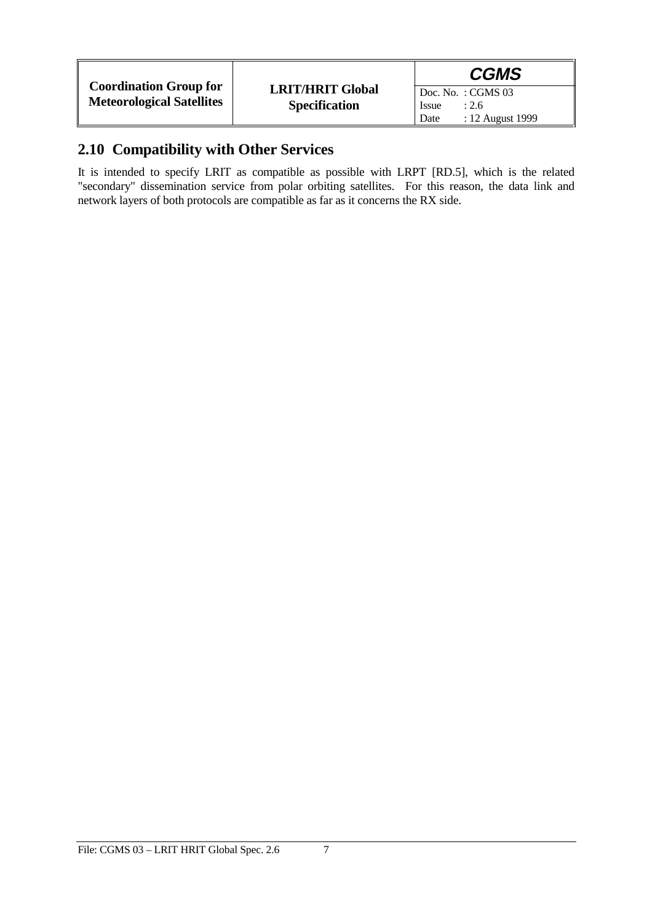|                                                                   |                                                 | <b>CGMS</b>                                                              |
|-------------------------------------------------------------------|-------------------------------------------------|--------------------------------------------------------------------------|
| <b>Coordination Group for</b><br><b>Meteorological Satellites</b> | <b>LRIT/HRIT Global</b><br><b>Specification</b> | Doc. No.: $CGMS$ 03<br><b>Issue</b><br>: 2.6<br>: 12 August 1999<br>Date |

### **2.10 Compatibility with Other Services**

It is intended to specify LRIT as compatible as possible with LRPT [RD.5], which is the related "secondary" dissemination service from polar orbiting satellites. For this reason, the data link and network layers of both protocols are compatible as far as it concerns the RX side.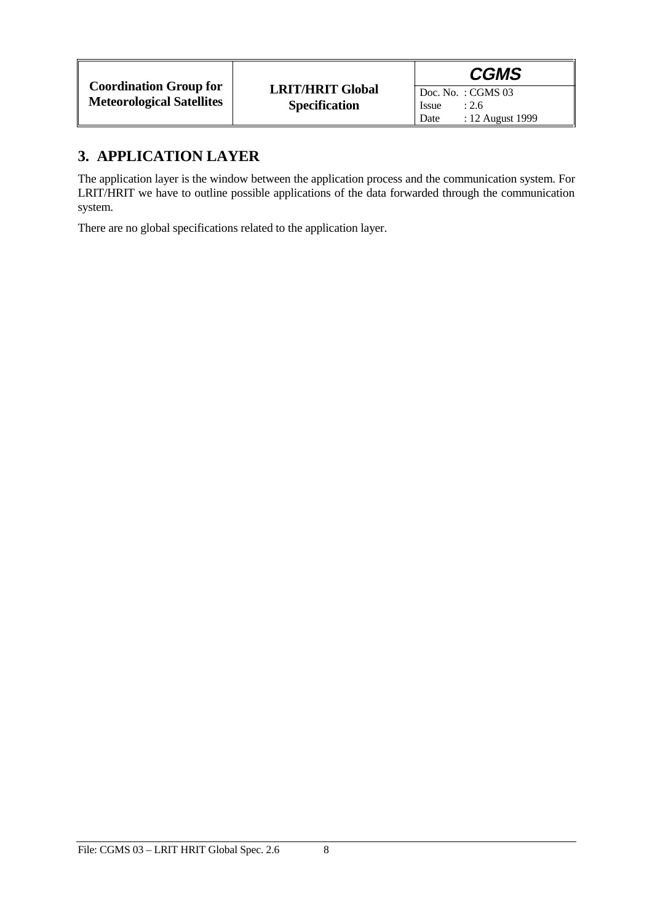|                                                                   |                                                 |               | <b>CGMS</b>                                      |
|-------------------------------------------------------------------|-------------------------------------------------|---------------|--------------------------------------------------|
| <b>Coordination Group for</b><br><b>Meteorological Satellites</b> | <b>LRIT/HRIT Global</b><br><b>Specification</b> | Issue<br>Date | Doc. No.: $CGMS$ 03<br>: 2.6<br>: 12 August 1999 |

### **3. APPLICATION LAYER**

The application layer is the window between the application process and the communication system. For LRIT/HRIT we have to outline possible applications of the data forwarded through the communication system.

There are no global specifications related to the application layer.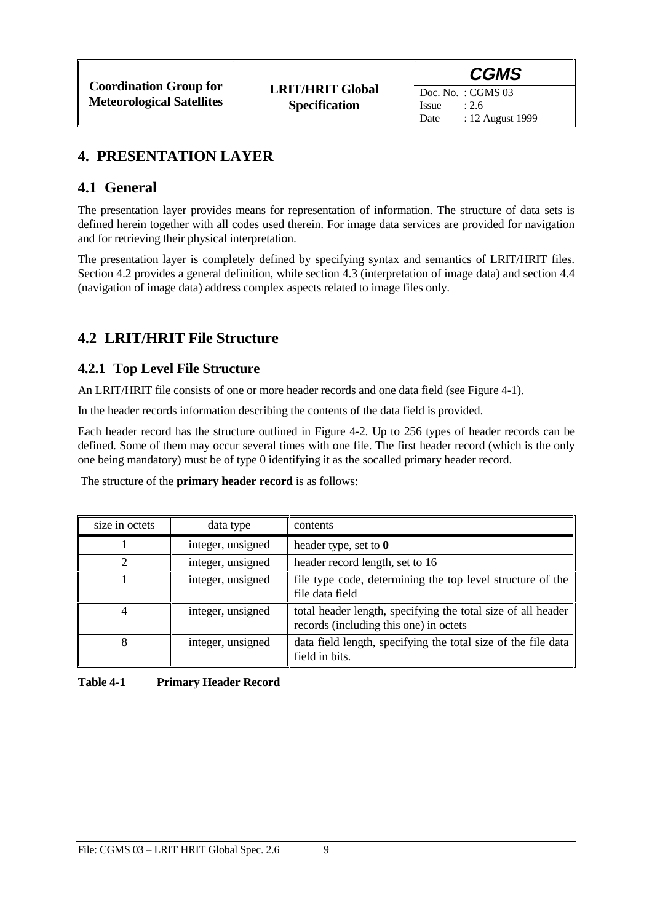### **4. PRESENTATION LAYER**

### **4.1 General**

The presentation layer provides means for representation of information. The structure of data sets is defined herein together with all codes used therein. For image data services are provided for navigation and for retrieving their physical interpretation.

The presentation layer is completely defined by specifying syntax and semantics of LRIT/HRIT files. Section 4.2 provides a general definition, while section 4.3 (interpretation of image data) and section 4.4 (navigation of image data) address complex aspects related to image files only.

# **4.2 LRIT/HRIT File Structure**

### **4.2.1 Top Level File Structure**

An LRIT/HRIT file consists of one or more header records and one data field (see Figure 4-1).

In the header records information describing the contents of the data field is provided.

Each header record has the structure outlined in Figure 4-2. Up to 256 types of header records can be defined. Some of them may occur several times with one file. The first header record (which is the only one being mandatory) must be of type 0 identifying it as the socalled primary header record.

The structure of the **primary header record** is as follows:

| size in octets | data type         | contents                                                                                               |
|----------------|-------------------|--------------------------------------------------------------------------------------------------------|
|                | integer, unsigned | header type, set to $\mathbf{0}$                                                                       |
| ◠              | integer, unsigned | header record length, set to 16                                                                        |
|                | integer, unsigned | file type code, determining the top level structure of the<br>file data field                          |
| 4              | integer, unsigned | total header length, specifying the total size of all header<br>records (including this one) in octets |
| 8              | integer, unsigned | data field length, specifying the total size of the file data<br>field in bits.                        |

#### **Table 4-1 Primary Header Record**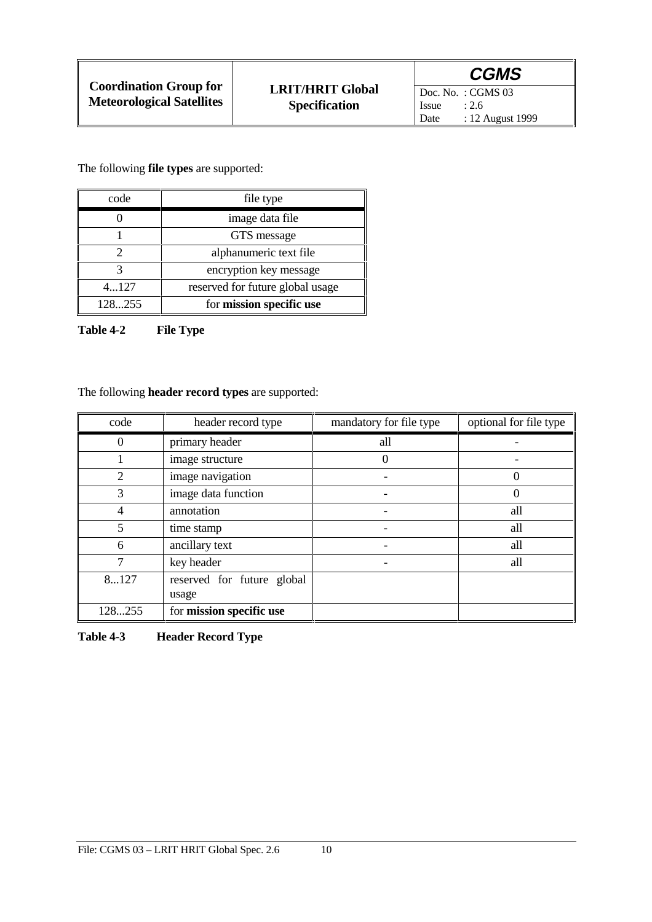Doc. No. : CGMS 03<br>Issue : 2.6 **Issue** Date : 12 August 1999

The following **file types** are supported:

| code   | file type                        |
|--------|----------------------------------|
|        | image data file                  |
|        | GTS message                      |
|        | alphanumeric text file           |
|        | encryption key message           |
| 4127   | reserved for future global usage |
| 128255 | for mission specific use         |

**Table 4-2 File Type**

The following **header record types** are supported:

| code             | header record type         | mandatory for file type | optional for file type |
|------------------|----------------------------|-------------------------|------------------------|
| $\boldsymbol{0}$ | primary header             | all                     |                        |
|                  | image structure            | $\theta$                |                        |
| $\overline{2}$   | image navigation           |                         | 0                      |
| 3                | image data function        |                         | 0                      |
| 4                | annotation                 |                         | all                    |
| 5                | time stamp                 |                         | all                    |
| 6                | ancillary text             |                         | all                    |
| 7                | key header                 |                         | all                    |
| 8127             | reserved for future global |                         |                        |
|                  | usage                      |                         |                        |
| 128255           | for mission specific use   |                         |                        |

**Table 4-3 Header Record Type**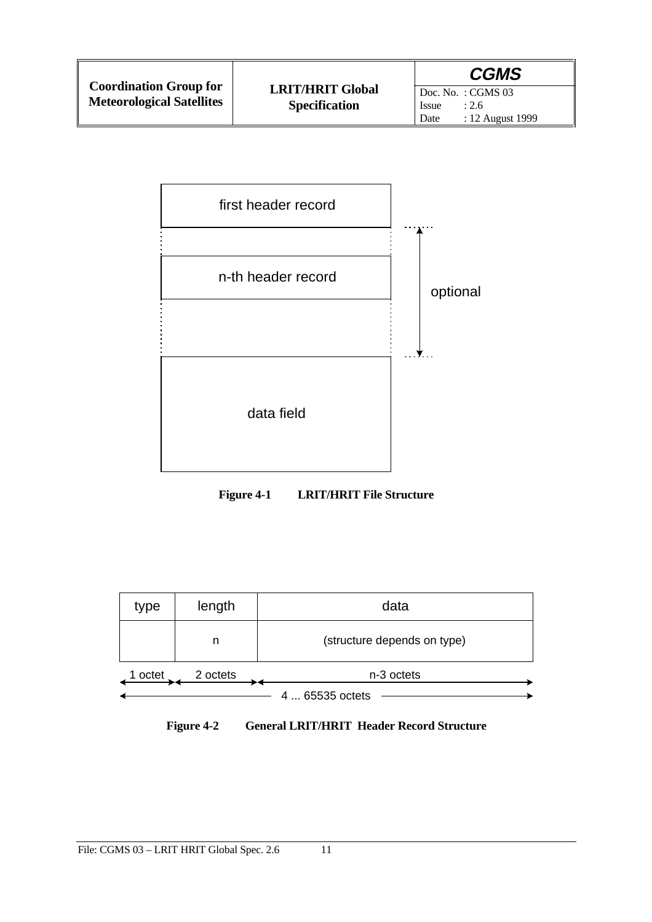

**Figure 4-1 LRIT/HRIT File Structure**



**Figure 4-2 General LRIT/HRIT Header Record Structure**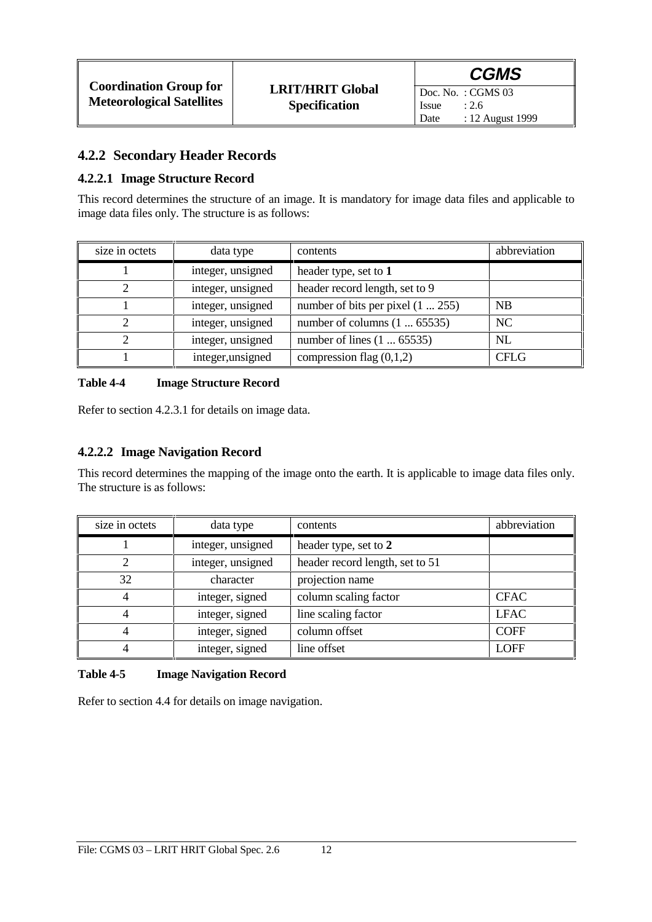### **4.2.2 Secondary Header Records**

#### **4.2.2.1 Image Structure Record**

This record determines the structure of an image. It is mandatory for image data files and applicable to image data files only. The structure is as follows:

| size in octets | data type         | contents                            | abbreviation |
|----------------|-------------------|-------------------------------------|--------------|
|                | integer, unsigned | header type, set to 1               |              |
|                | integer, unsigned | header record length, set to 9      |              |
|                | integer, unsigned | number of bits per pixel $(1255)$   | <b>NB</b>    |
|                | integer, unsigned | number of columns $(1 \dots 65535)$ | NC           |
|                | integer, unsigned | number of lines $(1 \dots 65535)$   | NL           |
|                | integer, unsigned | compression flag $(0,1,2)$          | <b>CFLG</b>  |

#### **Table 4-4 Image Structure Record**

Refer to section 4.2.3.1 for details on image data.

#### **4.2.2.2 Image Navigation Record**

This record determines the mapping of the image onto the earth. It is applicable to image data files only. The structure is as follows:

| size in octets | data type         | contents                        | abbreviation |
|----------------|-------------------|---------------------------------|--------------|
|                | integer, unsigned | header type, set to 2           |              |
|                | integer, unsigned | header record length, set to 51 |              |
| 32             | character         | projection name                 |              |
| 4              | integer, signed   | column scaling factor           | <b>CFAC</b>  |
|                | integer, signed   | line scaling factor             | <b>LFAC</b>  |
|                | integer, signed   | column offset                   | <b>COFF</b>  |
|                | integer, signed   | line offset                     | <b>LOFF</b>  |

#### **Table 4-5 Image Navigation Record**

Refer to section 4.4 for details on image navigation.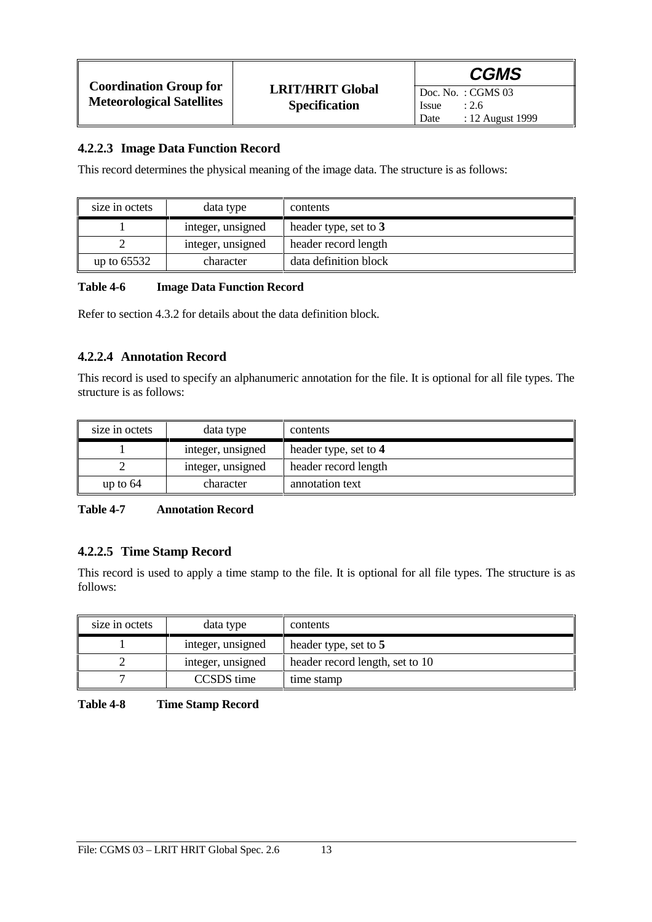|                                                                   |                                                 | <b>CGMS</b>                                        |
|-------------------------------------------------------------------|-------------------------------------------------|----------------------------------------------------|
| <b>Coordination Group for</b><br><b>Meteorological Satellites</b> | <b>LRIT/HRIT Global</b><br><b>Specification</b> | $\vert$ Doc. No.: CGMS 03<br><b>Issue</b><br>: 2.6 |
|                                                                   |                                                 | : 12 August 1999<br>Date                           |

#### **4.2.2.3 Image Data Function Record**

This record determines the physical meaning of the image data. The structure is as follows:

| size in octets | data type         | contents              |
|----------------|-------------------|-----------------------|
|                | integer, unsigned | header type, set to 3 |
|                | integer, unsigned | header record length  |
| up to $65532$  | character         | data definition block |

#### **Table 4-6 Image Data Function Record**

Refer to section 4.3.2 for details about the data definition block.

#### **4.2.2.4 Annotation Record**

This record is used to specify an alphanumeric annotation for the file. It is optional for all file types. The structure is as follows:

| size in octets | data type         | contents              |
|----------------|-------------------|-----------------------|
|                | integer, unsigned | header type, set to 4 |
|                | integer, unsigned | header record length  |
| up to $64$     | character         | annotation text       |

#### **Table 4-7 Annotation Record**

#### **4.2.2.5 Time Stamp Record**

This record is used to apply a time stamp to the file. It is optional for all file types. The structure is as follows:

| size in octets | data type         | contents                        |
|----------------|-------------------|---------------------------------|
|                | integer, unsigned | header type, set to 5           |
|                | integer, unsigned | header record length, set to 10 |
|                | CCSDS time        | time stamp                      |

**Table 4-8 Time Stamp Record**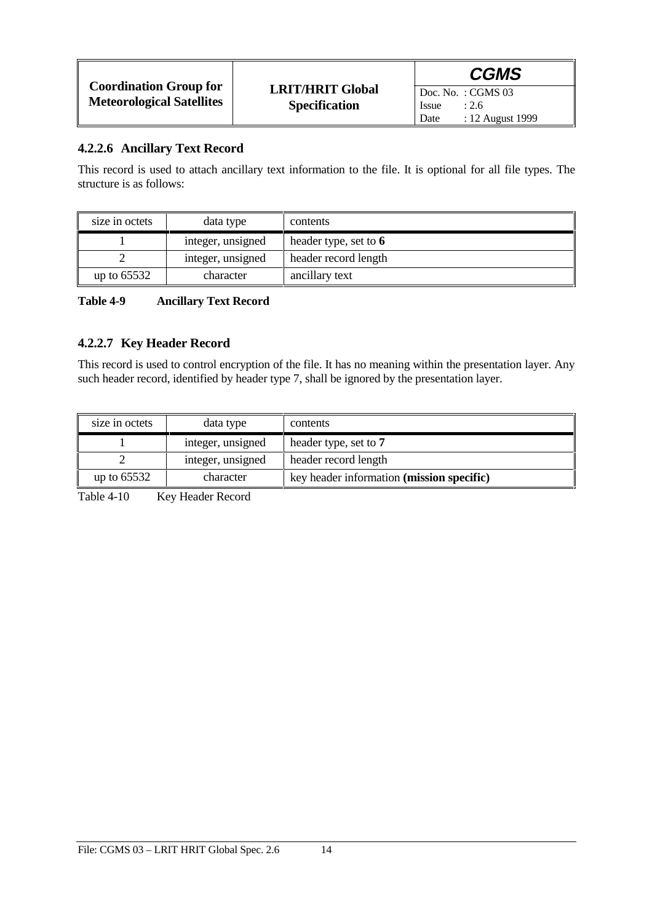|                                                                   |                                                 | <b>CGMS</b>                                                               |
|-------------------------------------------------------------------|-------------------------------------------------|---------------------------------------------------------------------------|
| <b>Coordination Group for</b><br><b>Meteorological Satellites</b> | <b>LRIT/HRIT Global</b><br><b>Specification</b> | Doc. No. : CGMS $03$<br><b>Issue</b><br>: 2.6<br>: 12 August 1999<br>Date |

#### **4.2.2.6 Ancillary Text Record**

This record is used to attach ancillary text information to the file. It is optional for all file types. The structure is as follows:

| size in octets | data type         | contents                |
|----------------|-------------------|-------------------------|
|                | integer, unsigned | header type, set to $6$ |
|                | integer, unsigned | header record length    |
| up to $65532$  | character         | ancillary text          |

#### **Table 4-9 Ancillary Text Record**

#### **4.2.2.7 Key Header Record**

This record is used to control encryption of the file. It has no meaning within the presentation layer. Any such header record, identified by header type 7, shall be ignored by the presentation layer.

| size in octets | data type         | contents                                           |
|----------------|-------------------|----------------------------------------------------|
|                | integer, unsigned | header type, set to 7                              |
|                | integer, unsigned | header record length                               |
| up to $65532$  | character         | key header information ( <b>mission specific</b> ) |

Table 4-10 Key Header Record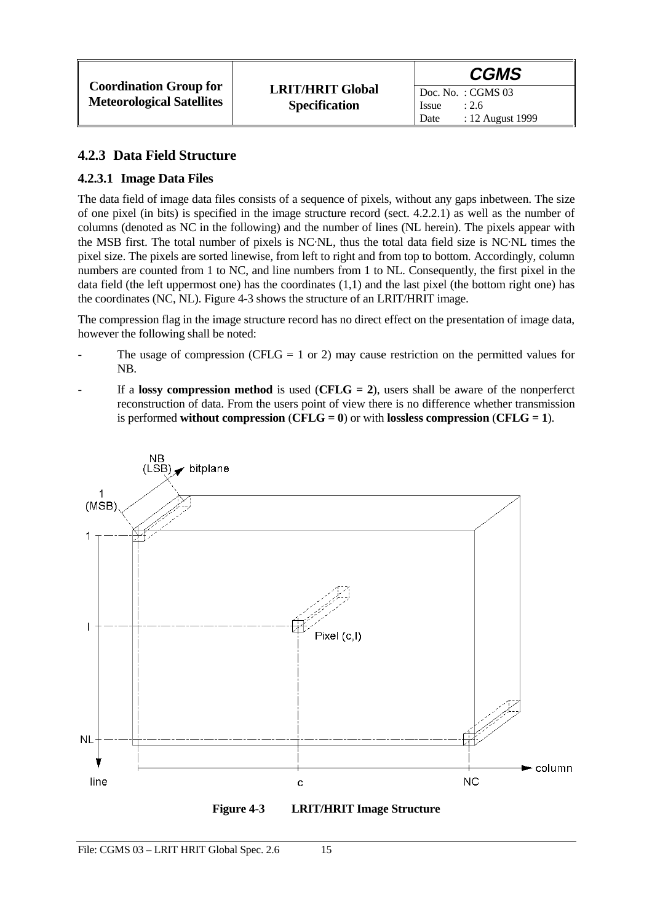### **4.2.3 Data Field Structure**

### **4.2.3.1 Image Data Files**

The data field of image data files consists of a sequence of pixels, without any gaps inbetween. The size of one pixel (in bits) is specified in the image structure record (sect. 4.2.2.1) as well as the number of columns (denoted as NC in the following) and the number of lines (NL herein). The pixels appear with the MSB first. The total number of pixels is NC·NL, thus the total data field size is NC·NL times the pixel size. The pixels are sorted linewise, from left to right and from top to bottom. Accordingly, column numbers are counted from 1 to NC, and line numbers from 1 to NL. Consequently, the first pixel in the data field (the left uppermost one) has the coordinates (1,1) and the last pixel (the bottom right one) has the coordinates (NC, NL). Figure 4-3 shows the structure of an LRIT/HRIT image.

The compression flag in the image structure record has no direct effect on the presentation of image data, however the following shall be noted:

- The usage of compression (CFLG = 1 or 2) may cause restriction on the permitted values for NB.
- If a **lossy compression method** is used  $(CFLG = 2)$ , users shall be aware of the nonperferct reconstruction of data. From the users point of view there is no difference whether transmission is performed **without compression** ( $CFLG = 0$ ) or with **lossless compression** ( $CFLG = 1$ ).



**Figure 4-3 LRIT/HRIT Image Structure**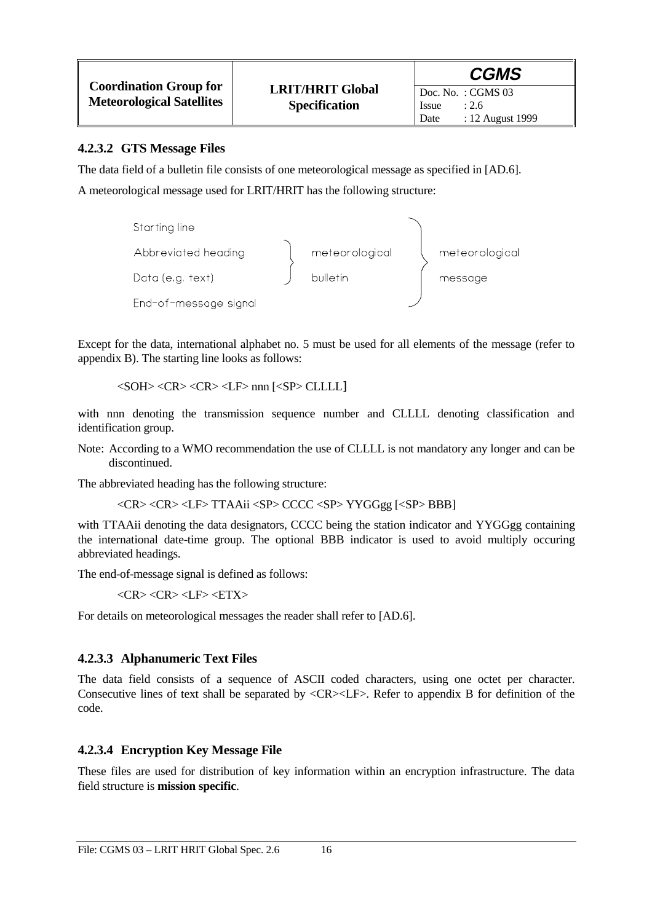|                                  |                         | <b>CGMS</b>                       |
|----------------------------------|-------------------------|-----------------------------------|
| <b>Coordination Group for</b>    | <b>LRIT/HRIT Global</b> | $\overline{D}$ Doc. No. : CGMS 03 |
| <b>Meteorological Satellites</b> | <b>Specification</b>    | : 2.6<br><i>Issue</i>             |
|                                  |                         | : 12 August 1999<br>Date          |

#### **4.2.3.2 GTS Message Files**

The data field of a bulletin file consists of one meteorological message as specified in [AD.6].

A meteorological message used for LRIT/HRIT has the following structure:



Except for the data, international alphabet no. 5 must be used for all elements of the message (refer to appendix B). The starting line looks as follows:

<SOH> <CR> <CR> <LF> nnn [<SP> CLLLL]

with nnn denoting the transmission sequence number and CLLLL denoting classification and identification group.

Note: According to a WMO recommendation the use of CLLLL is not mandatory any longer and can be discontinued.

The abbreviated heading has the following structure:

<CR> <CR> <LF> TTAAii <SP> CCCC <SP> YYGGgg [<SP> BBB]

with TTAAii denoting the data designators, CCCC being the station indicator and YYGGgg containing the international date-time group. The optional BBB indicator is used to avoid multiply occuring abbreviated headings.

The end-of-message signal is defined as follows:

 $\langle CR \rangle \langle CR \rangle \langle LF \rangle \langle ETX \rangle$ 

For details on meteorological messages the reader shall refer to [AD.6].

#### **4.2.3.3 Alphanumeric Text Files**

The data field consists of a sequence of ASCII coded characters, using one octet per character. Consecutive lines of text shall be separated by <CR><LF>. Refer to appendix B for definition of the code.

#### **4.2.3.4 Encryption Key Message File**

These files are used for distribution of key information within an encryption infrastructure. The data field structure is **mission specific**.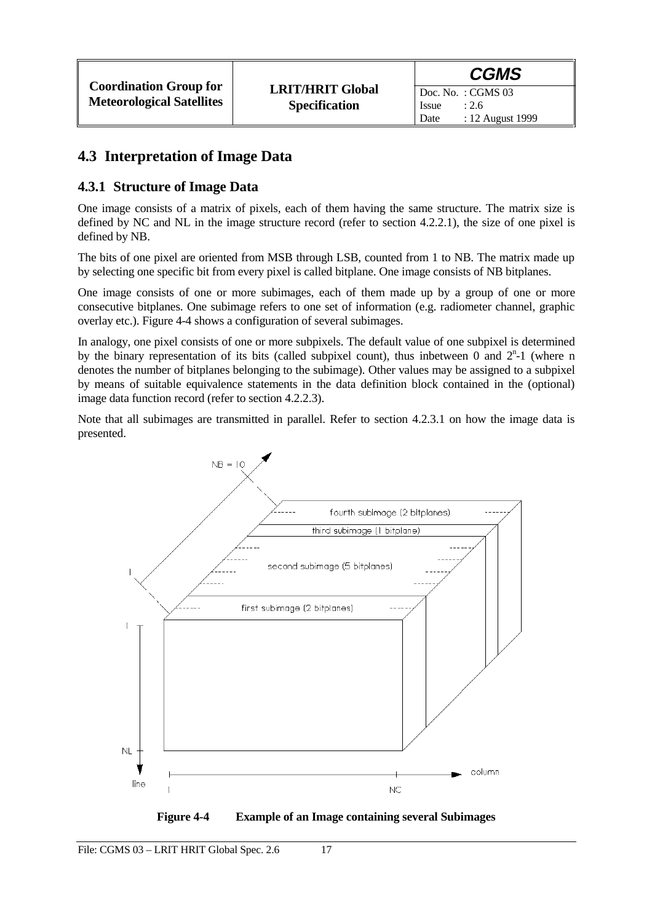## **4.3 Interpretation of Image Data**

### **4.3.1 Structure of Image Data**

One image consists of a matrix of pixels, each of them having the same structure. The matrix size is defined by NC and NL in the image structure record (refer to section 4.2.2.1), the size of one pixel is defined by NB.

The bits of one pixel are oriented from MSB through LSB, counted from 1 to NB. The matrix made up by selecting one specific bit from every pixel is called bitplane. One image consists of NB bitplanes.

One image consists of one or more subimages, each of them made up by a group of one or more consecutive bitplanes. One subimage refers to one set of information (e.g. radiometer channel, graphic overlay etc.). Figure 4-4 shows a configuration of several subimages.

In analogy, one pixel consists of one or more subpixels. The default value of one subpixel is determined by the binary representation of its bits (called subpixel count), thus inbetween 0 and  $2<sup>n</sup>$ -1 (where n denotes the number of bitplanes belonging to the subimage). Other values may be assigned to a subpixel by means of suitable equivalence statements in the data definition block contained in the (optional) image data function record (refer to section 4.2.2.3).

Note that all subimages are transmitted in parallel. Refer to section 4.2.3.1 on how the image data is presented.



**Figure 4-4 Example of an Image containing several Subimages**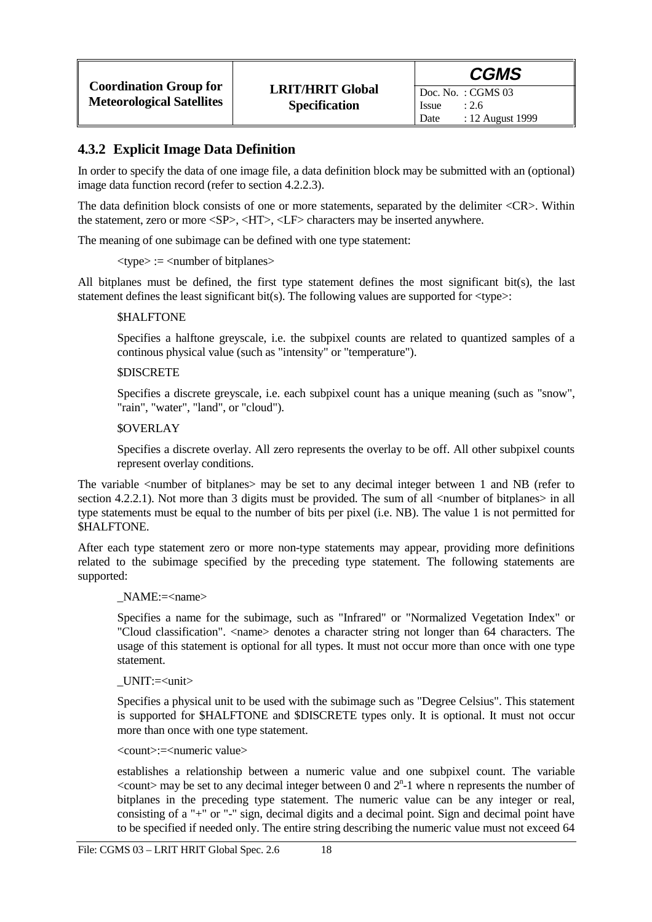#### **4.3.2 Explicit Image Data Definition**

In order to specify the data of one image file, a data definition block may be submitted with an (optional) image data function record (refer to section 4.2.2.3).

The data definition block consists of one or more statements, separated by the delimiter <CR>. Within the statement, zero or more <SP>, <HT>, <LF> characters may be inserted anywhere.

The meaning of one subimage can be defined with one type statement:

 $\langle$  type $\rangle$  :=  $\langle$  number of bitplanes $\rangle$ 

All bitplanes must be defined, the first type statement defines the most significant bit(s), the last statement defines the least significant bit(s). The following values are supported for  $\langle$ type $\rangle$ :

#### *SHALFTONE*

Specifies a halftone greyscale, i.e. the subpixel counts are related to quantized samples of a continous physical value (such as "intensity" or "temperature").

#### *<u>SDISCRETE</u>*

Specifies a discrete greyscale, i.e. each subpixel count has a unique meaning (such as "snow", "rain", "water", "land", or "cloud").

#### \$OVERLAY

Specifies a discrete overlay. All zero represents the overlay to be off. All other subpixel counts represent overlay conditions.

The variable <number of bitplanes> may be set to any decimal integer between 1 and NB (refer to section 4.2.2.1). Not more than 3 digits must be provided. The sum of all  $\lt$ number of bitplanes $\gt$  in all type statements must be equal to the number of bits per pixel (i.e. NB). The value 1 is not permitted for \$HALFTONE.

After each type statement zero or more non-type statements may appear, providing more definitions related to the subimage specified by the preceding type statement. The following statements are supported:

#### \_NAME:=<name>

Specifies a name for the subimage, such as "Infrared" or "Normalized Vegetation Index" or "Cloud classification". <name> denotes a character string not longer than 64 characters. The usage of this statement is optional for all types. It must not occur more than once with one type statement.

#### UNIT:=<unit>

Specifies a physical unit to be used with the subimage such as "Degree Celsius". This statement is supported for \$HALFTONE and \$DISCRETE types only. It is optional. It must not occur more than once with one type statement.

#### <count>:=<numeric value>

establishes a relationship between a numeric value and one subpixel count. The variable  $\alpha$  <count > may be set to any decimal integer between 0 and  $2<sup>n</sup>$ -1 where n represents the number of bitplanes in the preceding type statement. The numeric value can be any integer or real, consisting of a "+" or "-" sign, decimal digits and a decimal point. Sign and decimal point have to be specified if needed only. The entire string describing the numeric value must not exceed 64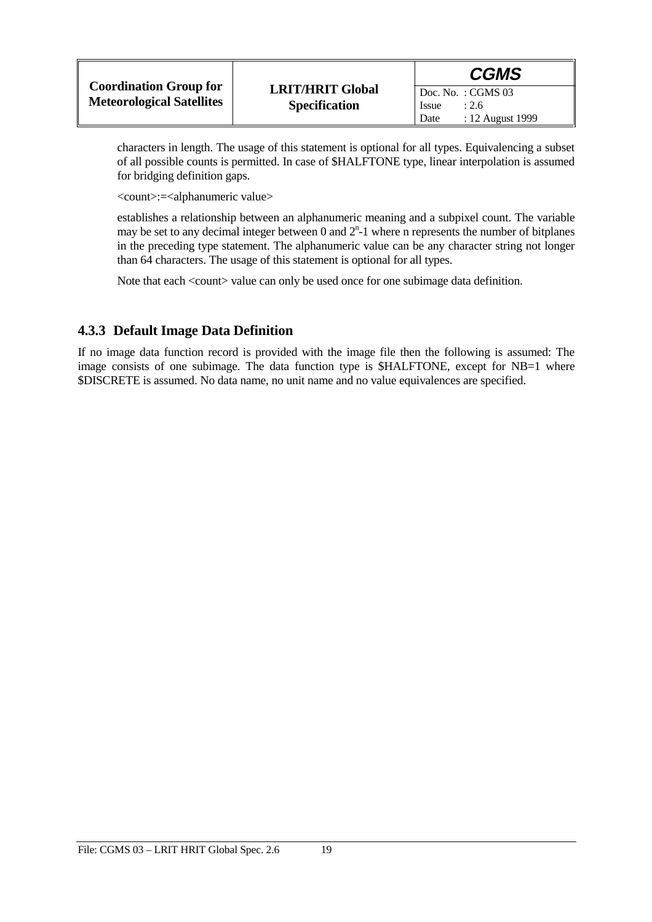|                                                                   |                                                 | <b>CGMS</b>                                                               |
|-------------------------------------------------------------------|-------------------------------------------------|---------------------------------------------------------------------------|
| <b>Coordination Group for</b><br><b>Meteorological Satellites</b> | <b>LRIT/HRIT Global</b><br><b>Specification</b> | Doc. No. : CGMS $03$<br><i>Issue</i><br>: 2.6<br>: 12 August 1999<br>Date |

characters in length. The usage of this statement is optional for all types. Equivalencing a subset of all possible counts is permitted. In case of \$HALFTONE type, linear interpolation is assumed for bridging definition gaps.

<count>:=<alphanumeric value>

establishes a relationship between an alphanumeric meaning and a subpixel count. The variable may be set to any decimal integer between 0 and  $2<sup>n</sup>$ -1 where n represents the number of bitplanes in the preceding type statement. The alphanumeric value can be any character string not longer than 64 characters. The usage of this statement is optional for all types.

Note that each <count> value can only be used once for one subimage data definition.

#### **4.3.3 Default Image Data Definition**

If no image data function record is provided with the image file then the following is assumed: The image consists of one subimage. The data function type is \$HALFTONE, except for NB=1 where \$DISCRETE is assumed. No data name, no unit name and no value equivalences are specified.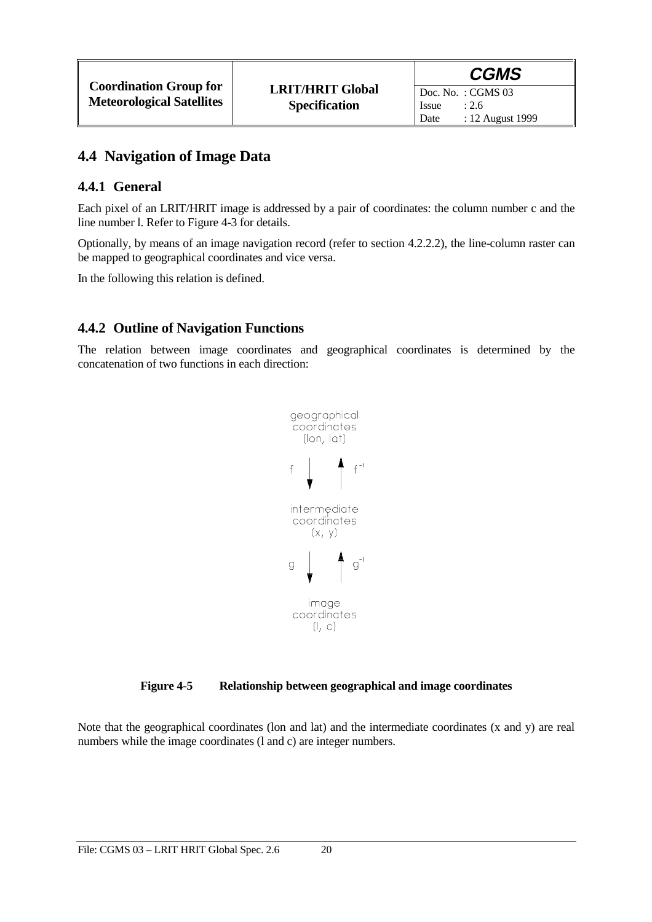### **4.4 Navigation of Image Data**

#### **4.4.1 General**

Each pixel of an LRIT/HRIT image is addressed by a pair of coordinates: the column number c and the line number l. Refer to Figure 4-3 for details.

Optionally, by means of an image navigation record (refer to section 4.2.2.2), the line-column raster can be mapped to geographical coordinates and vice versa.

In the following this relation is defined.

### **4.4.2 Outline of Navigation Functions**

The relation between image coordinates and geographical coordinates is determined by the concatenation of two functions in each direction:



#### **Figure 4-5 Relationship between geographical and image coordinates**

Note that the geographical coordinates (lon and lat) and the intermediate coordinates (x and y) are real numbers while the image coordinates (l and c) are integer numbers.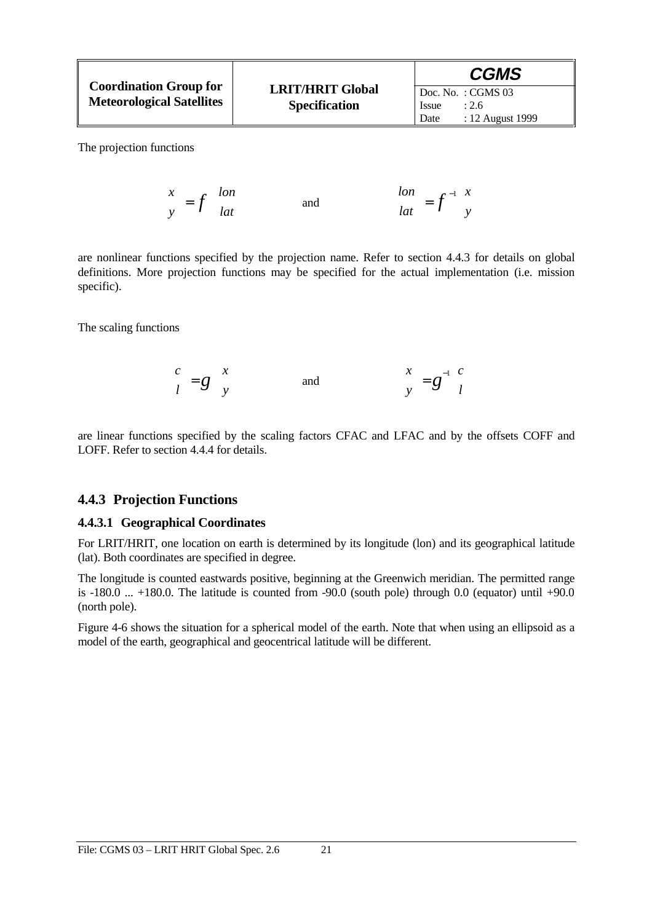|                                  |                         | <b>CGMS</b>               |
|----------------------------------|-------------------------|---------------------------|
| <b>Coordination Group for</b>    | <b>LRIT/HRIT Global</b> | $\vert$ Doc. No.: CGMS 03 |
| <b>Meteorological Satellites</b> | <b>Specification</b>    | : 2.6<br><b>Issue</b>     |
|                                  |                         | : 12 August 1999<br>Date  |

The projection functions

$$
\begin{pmatrix} x \\ y \end{pmatrix} = f \begin{pmatrix} \ln x \\ \ln x \end{pmatrix} \quad \text{and} \quad \begin{pmatrix} \ln x \\ \ln x \end{pmatrix} = f^{-1} \begin{pmatrix} x \\ y \end{pmatrix}
$$

are nonlinear functions specified by the projection name. Refer to section 4.4.3 for details on global definitions. More projection functions may be specified for the actual implementation (i.e. mission specific).

The scaling functions

$$
\begin{pmatrix} c \\ l \end{pmatrix} = g \begin{pmatrix} x \\ y \end{pmatrix} \qquad \text{and} \qquad \begin{pmatrix} x \\ y \end{pmatrix} = g^{-1} \begin{pmatrix} c \\ l \end{pmatrix}
$$

are linear functions specified by the scaling factors CFAC and LFAC and by the offsets COFF and LOFF. Refer to section 4.4.4 for details.

#### **4.4.3 Projection Functions**

#### **4.4.3.1 Geographical Coordinates**

For LRIT/HRIT, one location on earth is determined by its longitude (lon) and its geographical latitude (lat). Both coordinates are specified in degree.

The longitude is counted eastwards positive, beginning at the Greenwich meridian. The permitted range is  $-180.0$  ...  $+180.0$ . The latitude is counted from  $-90.0$  (south pole) through 0.0 (equator) until  $+90.0$ (north pole).

Figure 4-6 shows the situation for a spherical model of the earth. Note that when using an ellipsoid as a model of the earth, geographical and geocentrical latitude will be different.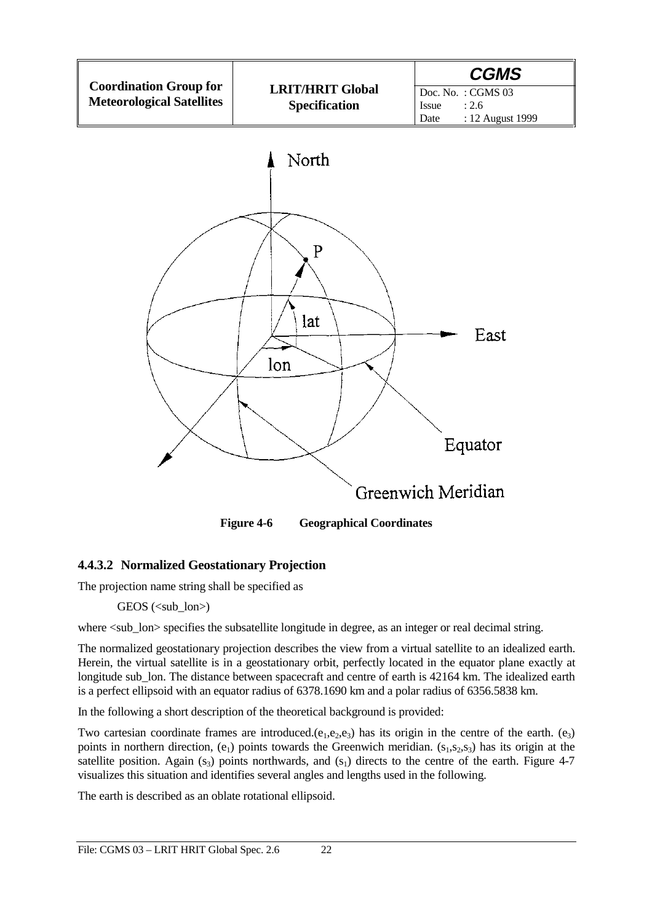

#### **4.4.3.2 Normalized Geostationary Projection**

The projection name string shall be specified as

 $GEOS$  ( $\lt$ sub lon $>$ )

where  $\lt$ sub lon $gt$  specifies the subsatellite longitude in degree, as an integer or real decimal string.

The normalized geostationary projection describes the view from a virtual satellite to an idealized earth. Herein, the virtual satellite is in a geostationary orbit, perfectly located in the equator plane exactly at longitude sub lon. The distance between spacecraft and centre of earth is 42164 km. The idealized earth is a perfect ellipsoid with an equator radius of 6378.1690 km and a polar radius of 6356.5838 km.

In the following a short description of the theoretical background is provided:

Two cartesian coordinate frames are introduced. $(e_1,e_2,e_3)$  has its origin in the centre of the earth.  $(e_3)$ points in northern direction,  $(e_1)$  points towards the Greenwich meridian.  $(s_1,s_2,s_3)$  has its origin at the satellite position. Again  $(s_3)$  points northwards, and  $(s_1)$  directs to the centre of the earth. Figure 4-7 visualizes this situation and identifies several angles and lengths used in the following.

The earth is described as an oblate rotational ellipsoid.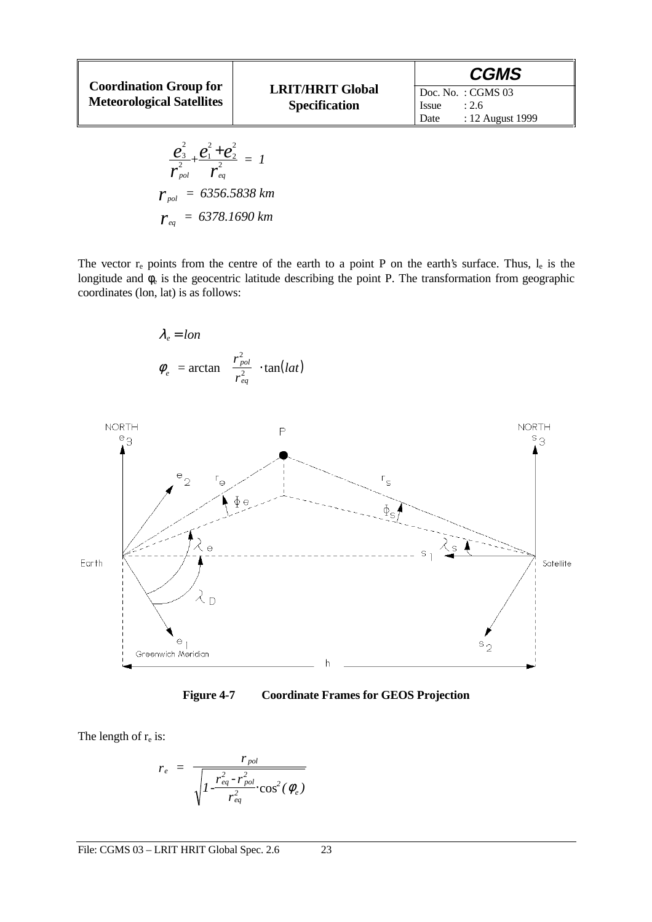|                                                                   |                                                 | <b>CGMS</b>                                                             |
|-------------------------------------------------------------------|-------------------------------------------------|-------------------------------------------------------------------------|
| <b>Coordination Group for</b><br><b>Meteorological Satellites</b> | <b>LRIT/HRIT Global</b><br><b>Specification</b> | $\vert$ Doc. No.: CGMS 03<br>: 2.6<br>Issue<br>: 12 August 1999<br>Date |

$$
\frac{e_3^2}{r_{pol}^2} + \frac{e_1^2 + e_2^2}{r_{eq}^2} = 1
$$
\n
$$
r_{pol} = 6356.5838 \text{ km}
$$
\n
$$
r_{eq} = 6378.1690 \text{ km}
$$

The vector  $r_e$  points from the centre of the earth to a point P on the earth's surface. Thus,  $l_e$  is the longitude and  $\phi_e$  is the geocentric latitude describing the point P. The transformation from geographic coordinates (lon, lat) is as follows:





**Figure 4-7 Coordinate Frames for GEOS Projection**

The length of  $r_e$  is:

$$
r_e = \frac{r_{pol}}{\sqrt{1 - \frac{r_{eq}^2 - r_{pol}^2}{r_{eq}^2} \cdot \cos^2(\phi_e)}}
$$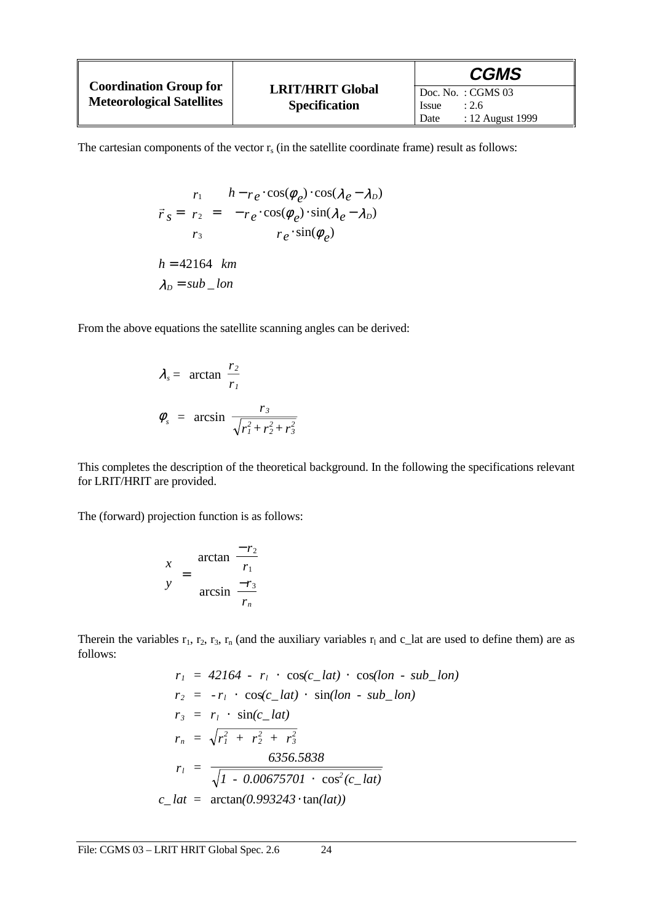|                                                                   |                                                 | <b>CGMS</b>                                                             |
|-------------------------------------------------------------------|-------------------------------------------------|-------------------------------------------------------------------------|
| <b>Coordination Group for</b><br><b>Meteorological Satellites</b> | <b>LRIT/HRIT Global</b><br><b>Specification</b> | $\vert$ Doc. No.: CGMS 03<br>Issue<br>: 2.6<br>: 12 August 1999<br>Date |

The cartesian components of the vector  $r_s$  (in the satellite coordinate frame) result as follows:

$$
\vec{r}_s = \begin{pmatrix} r_1 \\ r_2 \\ r_3 \end{pmatrix} = \begin{pmatrix} h - r_e \cdot \cos(\phi_e) \cdot \cos(\lambda_e - \lambda_D) \\ -r_e \cdot \cos(\phi_e) \cdot \sin(\lambda_e - \lambda_D) \\ r_e \cdot \sin(\phi_e) \end{pmatrix}
$$
  
h = 42164 km  

$$
\lambda_D = sub\_lon
$$

From the above equations the satellite scanning angles can be derived:

$$
\lambda_s = \arctan\left(\frac{r_2}{r_1}\right)
$$
  

$$
\phi_s = \arcsin\left(\frac{r_3}{\sqrt{r_1^2 + r_2^2 + r_3^2}}\right)
$$

This completes the description of the theoretical background. In the following the specifications relevant for LRIT/HRIT are provided.

The (forward) projection function is as follows:

$$
\begin{pmatrix} x \\ y \end{pmatrix} = \begin{pmatrix} \arctan\left(\frac{-r_2}{r_1}\right) \\ \arcsin\left(\frac{-r_3}{r_n}\right) \end{pmatrix}
$$

Therein the variables  $r_1$ ,  $r_2$ ,  $r_3$ ,  $r_n$  (and the auxiliary variables  $r_1$  and c\_lat are used to define them) are as follows:

$$
r_1 = 42164 - r_1 \cdot \cos(c_{1}lat) \cdot \cos(lon - sub_{1}lon)
$$
  
\n
$$
r_2 = -r_1 \cdot \cos(c_{1}lat) \cdot \sin(lon - sub_{1}lon)
$$
  
\n
$$
r_3 = r_1 \cdot \sin(c_{1}lat)
$$
  
\n
$$
r_n = \sqrt{r_1^2 + r_2^2 + r_3^2}
$$
  
\n
$$
r_1 = \frac{6356.5838}{\sqrt{1 - 0.00675701 \cdot \cos^2(c_{1}lat)}}
$$
  
\n
$$
c_{1}lat = \arctan(0.993243 \cdot \tan(lat))
$$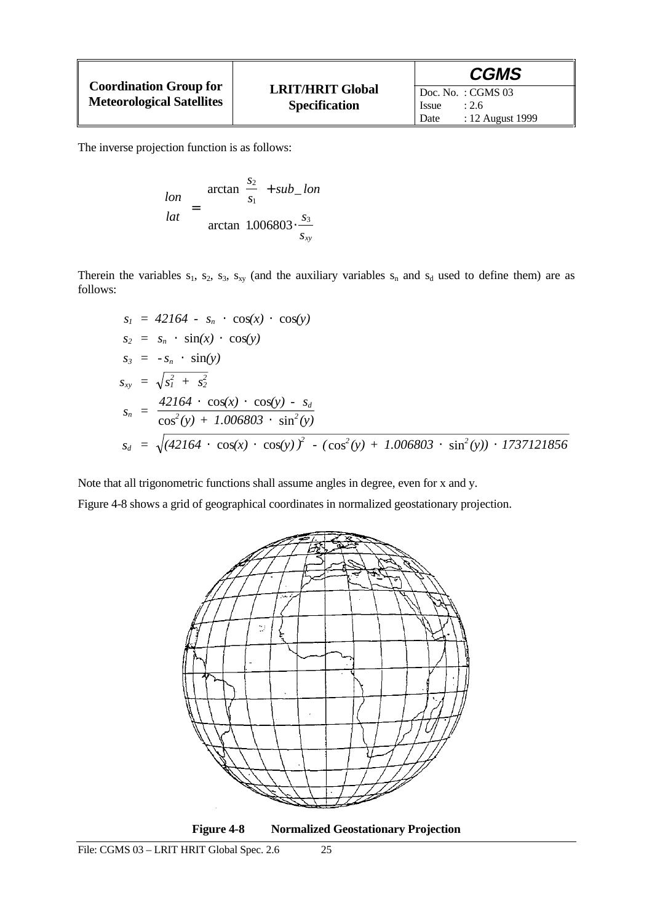|                                                                   |                                                 | <b>CGMS</b>                                                                            |
|-------------------------------------------------------------------|-------------------------------------------------|----------------------------------------------------------------------------------------|
| <b>Coordination Group for</b><br><b>Meteorological Satellites</b> | <b>LRIT/HRIT Global</b><br><b>Specification</b> | $\overline{D}$ Doc. No. : CGMS 03<br>: 2.6<br><i>Issue</i><br>: 12 August 1999<br>Date |

The inverse projection function is as follows:

| (lon) | $\arctan\left(\frac{s_2}{s}\right) + sub\_lon$      |
|-------|-----------------------------------------------------|
| lat   | arctan $1.006803 \cdot \frac{s_3}{s_3}$<br>$S_{xy}$ |

Therein the variables  $s_1$ ,  $s_2$ ,  $s_3$ ,  $s_{xy}$  (and the auxiliary variables  $s_n$  and  $s_d$  used to define them) are as follows:

$$
s_1 = 42164 - s_n \cdot \cos(x) \cdot \cos(y)
$$
  
\n
$$
s_2 = s_n \cdot \sin(x) \cdot \cos(y)
$$
  
\n
$$
s_3 = -s_n \cdot \sin(y)
$$
  
\n
$$
s_{xy} = \sqrt{s_1^2 + s_2^2}
$$
  
\n
$$
s_n = \frac{42164 \cdot \cos(x) \cdot \cos(y) - s_d}{\cos^2(y) + 1.006803 \cdot \sin^2(y)}
$$
  
\n
$$
s_d = \sqrt{(42164 \cdot \cos(x) \cdot \cos(y))^2 - (\cos^2(y) + 1.006803 \cdot \sin^2(y)) \cdot 1737121856}
$$

Note that all trigonometric functions shall assume angles in degree, even for x and y.

Figure 4-8 shows a grid of geographical coordinates in normalized geostationary projection.

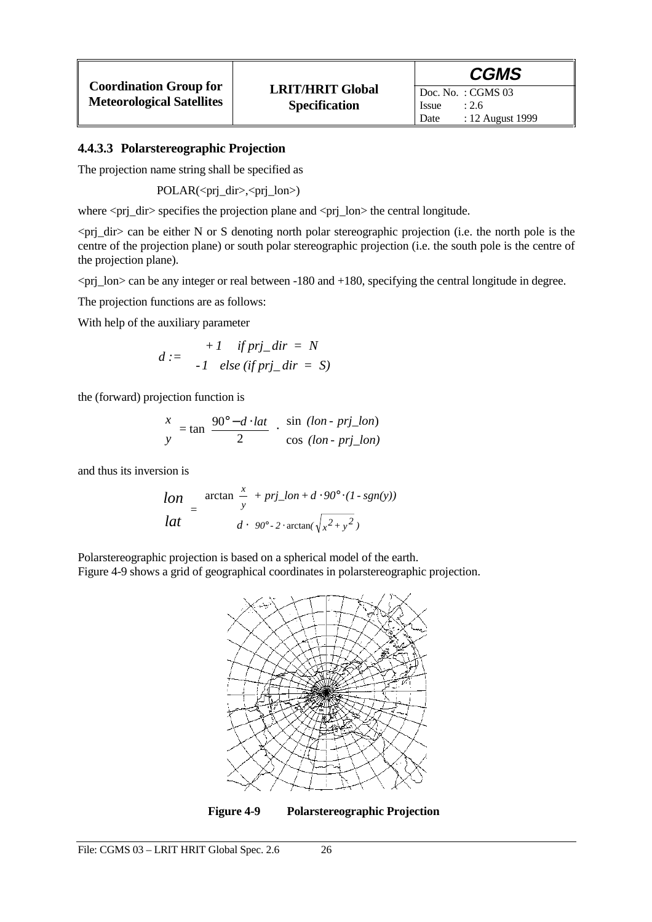The projection name string shall be specified as

POLAR(<prj\_dir>,<prj\_lon>)

where  $\langle pri\_dir \rangle$  specifies the projection plane and  $\langle pri\_lon \rangle$  the central longitude.

 $\pi$   $\pi$  and be either N or S denoting north polar stereographic projection (i.e. the north pole is the centre of the projection plane) or south polar stereographic projection (i.e. the south pole is the centre of the projection plane).

<prj\_lon> can be any integer or real between -180 and +180, specifying the central longitude in degree.

The projection functions are as follows:

With help of the auxiliary parameter

$$
d := \begin{cases} +1 & \text{if } p r \text{j\_dir} = N \\ -1 & \text{else } (\text{if } p r \text{j\_dir} = S) \end{cases}
$$

the (forward) projection function is

$$
\begin{pmatrix} x \\ y \end{pmatrix} = \tan \left( \frac{90^\circ - d \cdot lat}{2} \right) \cdot \begin{pmatrix} \sin (lon - pri\_lon) \\ \cos (lon - pri\_lon) \end{pmatrix}
$$

and thus its inversion is

$$
\begin{pmatrix}\nlon \\
lat\n\end{pmatrix} = \begin{pmatrix}\n\arctan\left(\frac{x}{y}\right) + pri\_lon + d \cdot 90^\circ \cdot (1 - sgn(y)) \\
d \cdot \left[ 90^\circ - 2 \cdot \arctan\left(\sqrt{x^2 + y^2}\right) \right]\n\end{pmatrix}
$$

Polarstereographic projection is based on a spherical model of the earth. Figure 4-9 shows a grid of geographical coordinates in polarstereographic projection.



**Figure 4-9 Polarstereographic Projection**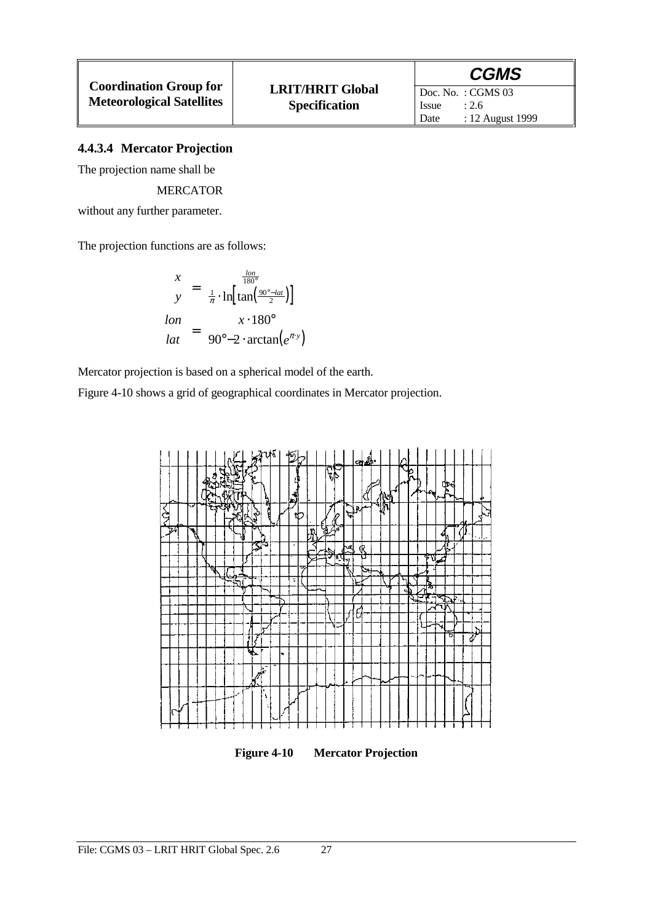#### **4.4.3.4 Mercator Projection**

The projection name shall be

#### MERCATOR

without any further parameter.

The projection functions are as follows:

$$
\begin{pmatrix} x \\ y \end{pmatrix} = \begin{pmatrix} \frac{lon}{180^{\circ}} \\ \frac{1}{\pi} \cdot ln \left[ tan \left( \frac{90^{\circ} - lat}{2} \right) \right] \end{pmatrix}
$$

$$
\begin{pmatrix} lon \\ lat \end{pmatrix} = \begin{pmatrix} x \cdot 180^{\circ} \\ 90^{\circ} - 2 \cdot arctan(e^{\pi \cdot y}) \end{pmatrix}
$$

Mercator projection is based on a spherical model of the earth.

Figure 4-10 shows a grid of geographical coordinates in Mercator projection.



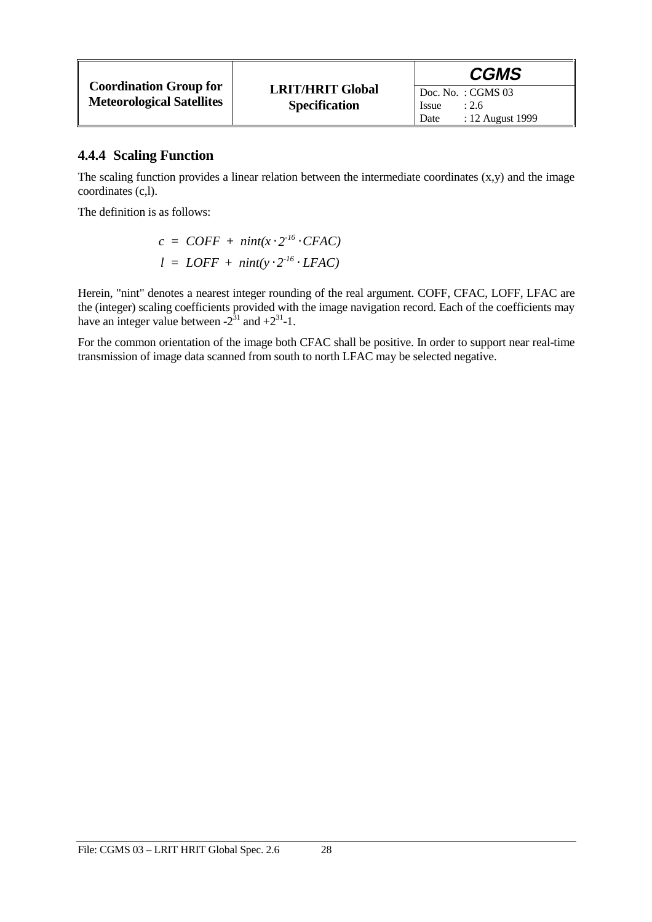|                                  |                         | <b>CGMS</b>               |
|----------------------------------|-------------------------|---------------------------|
| <b>Coordination Group for</b>    | <b>LRIT/HRIT Global</b> | $\vert$ Doc. No.: CGMS 03 |
| <b>Meteorological Satellites</b> | <b>Specification</b>    | Issue<br>: 2.6            |
|                                  |                         | : 12 August 1999<br>Date  |

#### **4.4.4 Scaling Function**

The scaling function provides a linear relation between the intermediate coordinates  $(x, y)$  and the image coordinates (c,l).

The definition is as follows:

$$
c = COFF + nint(x \cdot 2^{16} \cdot CFAC)
$$
  

$$
l = LOFF + nint(y \cdot 2^{16} \cdot LFAC)
$$

Herein, "nint" denotes a nearest integer rounding of the real argument. COFF, CFAC, LOFF, LFAC are the (integer) scaling coefficients provided with the image navigation record. Each of the coefficients may have an integer value between  $-2^{31}$  and  $+2^{31}$ -1.

For the common orientation of the image both CFAC shall be positive. In order to support near real-time transmission of image data scanned from south to north LFAC may be selected negative.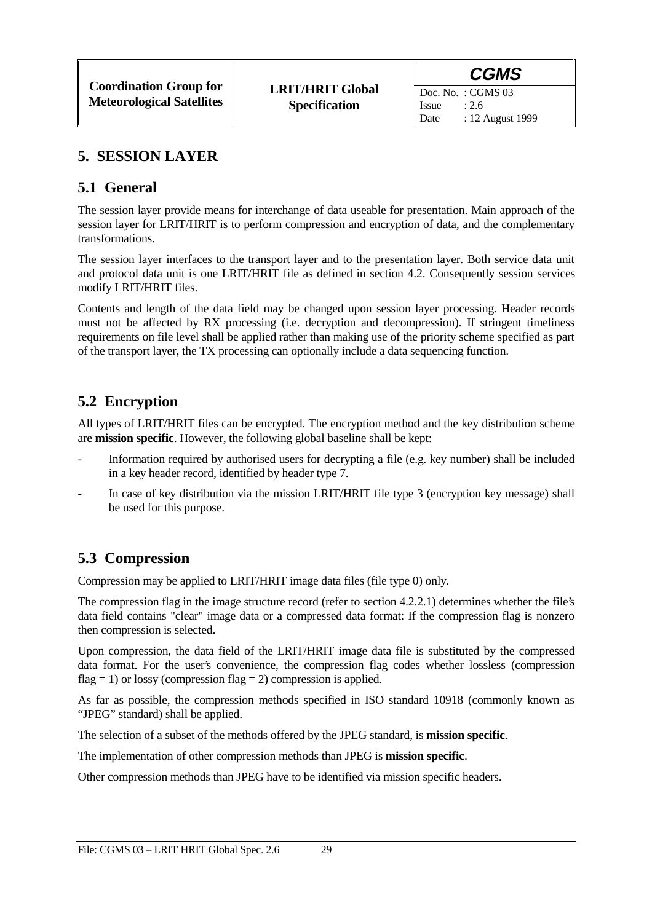Date : 12 August 1999

Issue  $: 2.6$ 

### **5. SESSION LAYER**

#### **5.1 General**

The session layer provide means for interchange of data useable for presentation. Main approach of the session layer for LRIT/HRIT is to perform compression and encryption of data, and the complementary transformations.

The session layer interfaces to the transport layer and to the presentation layer. Both service data unit and protocol data unit is one LRIT/HRIT file as defined in section 4.2. Consequently session services modify LRIT/HRIT files.

Contents and length of the data field may be changed upon session layer processing. Header records must not be affected by RX processing (i.e. decryption and decompression). If stringent timeliness requirements on file level shall be applied rather than making use of the priority scheme specified as part of the transport layer, the TX processing can optionally include a data sequencing function.

### **5.2 Encryption**

All types of LRIT/HRIT files can be encrypted. The encryption method and the key distribution scheme are **mission specific**. However, the following global baseline shall be kept:

- Information required by authorised users for decrypting a file (e.g. key number) shall be included in a key header record, identified by header type 7.
- In case of key distribution via the mission LRIT/HRIT file type 3 (encryption key message) shall be used for this purpose.

### **5.3 Compression**

Compression may be applied to LRIT/HRIT image data files (file type 0) only.

The compression flag in the image structure record (refer to section 4.2.2.1) determines whether the file's data field contains "clear" image data or a compressed data format: If the compression flag is nonzero then compression is selected.

Upon compression, the data field of the LRIT/HRIT image data file is substituted by the compressed data format. For the user's convenience, the compression flag codes whether lossless (compression flag = 1) or lossy (compression flag = 2) compression is applied.

As far as possible, the compression methods specified in ISO standard 10918 (commonly known as "JPEG" standard) shall be applied.

The selection of a subset of the methods offered by the JPEG standard, is **mission specific**.

The implementation of other compression methods than JPEG is **mission specific**.

Other compression methods than JPEG have to be identified via mission specific headers.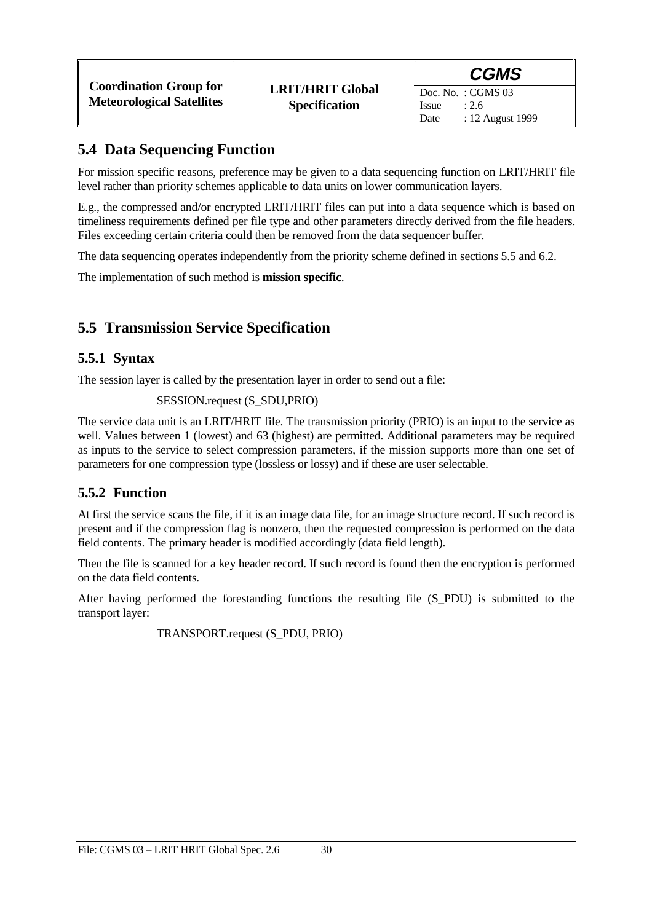### **5.4 Data Sequencing Function**

For mission specific reasons, preference may be given to a data sequencing function on LRIT/HRIT file level rather than priority schemes applicable to data units on lower communication layers.

E.g., the compressed and/or encrypted LRIT/HRIT files can put into a data sequence which is based on timeliness requirements defined per file type and other parameters directly derived from the file headers. Files exceeding certain criteria could then be removed from the data sequencer buffer.

The data sequencing operates independently from the priority scheme defined in sections 5.5 and 6.2.

The implementation of such method is **mission specific**.

### **5.5 Transmission Service Specification**

#### **5.5.1 Syntax**

The session layer is called by the presentation layer in order to send out a file:

#### SESSION.request (S\_SDU,PRIO)

The service data unit is an LRIT/HRIT file. The transmission priority (PRIO) is an input to the service as well. Values between 1 (lowest) and 63 (highest) are permitted. Additional parameters may be required as inputs to the service to select compression parameters, if the mission supports more than one set of parameters for one compression type (lossless or lossy) and if these are user selectable.

#### **5.5.2 Function**

At first the service scans the file, if it is an image data file, for an image structure record. If such record is present and if the compression flag is nonzero, then the requested compression is performed on the data field contents. The primary header is modified accordingly (data field length).

Then the file is scanned for a key header record. If such record is found then the encryption is performed on the data field contents.

After having performed the forestanding functions the resulting file (S\_PDU) is submitted to the transport layer:

TRANSPORT.request (S\_PDU, PRIO)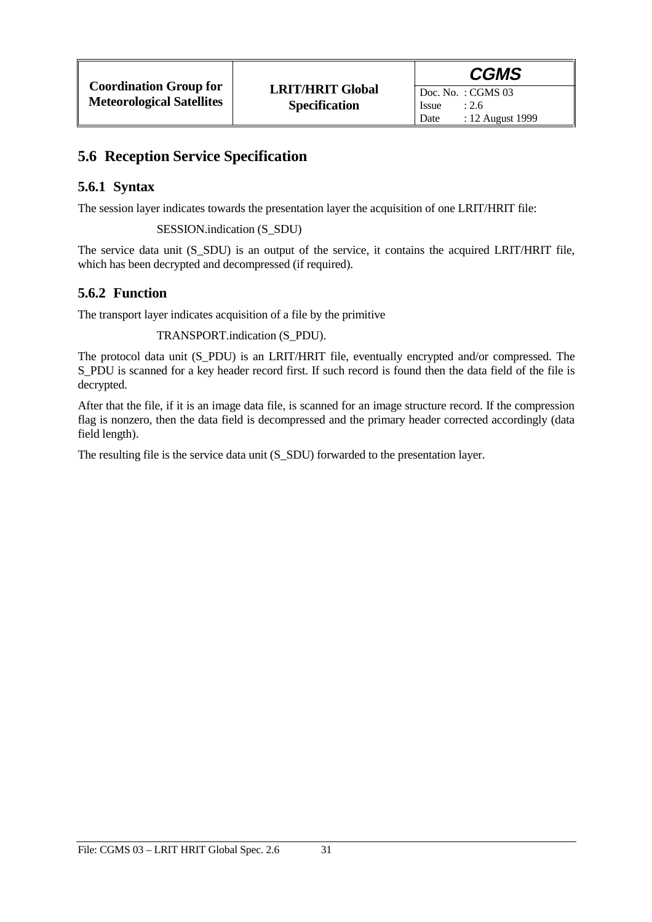### **5.6 Reception Service Specification**

### **5.6.1 Syntax**

The session layer indicates towards the presentation layer the acquisition of one LRIT/HRIT file:

SESSION.indication (S\_SDU)

The service data unit (S\_SDU) is an output of the service, it contains the acquired LRIT/HRIT file, which has been decrypted and decompressed (if required).

### **5.6.2 Function**

The transport layer indicates acquisition of a file by the primitive

TRANSPORT.indication (S\_PDU).

The protocol data unit (S\_PDU) is an LRIT/HRIT file, eventually encrypted and/or compressed. The S\_PDU is scanned for a key header record first. If such record is found then the data field of the file is decrypted.

After that the file, if it is an image data file, is scanned for an image structure record. If the compression flag is nonzero, then the data field is decompressed and the primary header corrected accordingly (data field length).

The resulting file is the service data unit (S\_SDU) forwarded to the presentation layer.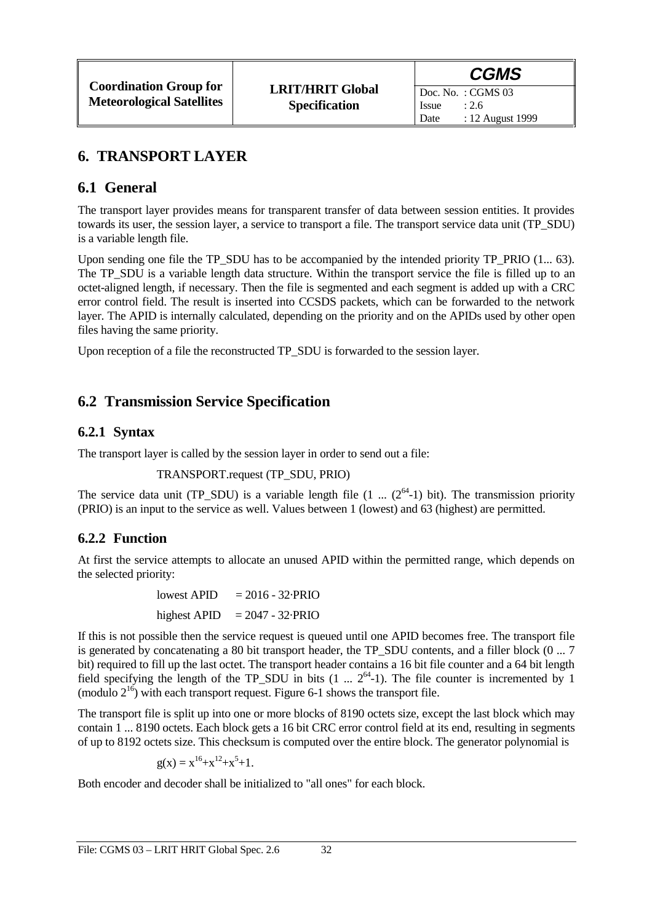Date : 12 August 1999

Issue  $: 2.6$ 

### **6. TRANSPORT LAYER**

### **6.1 General**

The transport layer provides means for transparent transfer of data between session entities. It provides towards its user, the session layer, a service to transport a file. The transport service data unit (TP\_SDU) is a variable length file.

Upon sending one file the TP\_SDU has to be accompanied by the intended priority TP\_PRIO (1... 63). The TP\_SDU is a variable length data structure. Within the transport service the file is filled up to an octet-aligned length, if necessary. Then the file is segmented and each segment is added up with a CRC error control field. The result is inserted into CCSDS packets, which can be forwarded to the network layer. The APID is internally calculated, depending on the priority and on the APIDs used by other open files having the same priority.

Upon reception of a file the reconstructed TP\_SDU is forwarded to the session layer.

### **6.2 Transmission Service Specification**

### **6.2.1 Syntax**

The transport layer is called by the session layer in order to send out a file:

TRANSPORT.request (TP\_SDU, PRIO)

The service data unit (TP\_SDU) is a variable length file  $(1 \dots (2^{64}-1)$  bit). The transmission priority (PRIO) is an input to the service as well. Values between 1 (lowest) and 63 (highest) are permitted.

#### **6.2.2 Function**

At first the service attempts to allocate an unused APID within the permitted range, which depends on the selected priority:

> lowest APID  $= 2016 - 32.$ PRIO highest APID  $= 2047 - 32$ ·PRIO

If this is not possible then the service request is queued until one APID becomes free. The transport file is generated by concatenating a 80 bit transport header, the TP\_SDU contents, and a filler block (0 ... 7 bit) required to fill up the last octet. The transport header contains a 16 bit file counter and a 64 bit length field specifying the length of the TP\_SDU in bits (1 ...  $2^{64}$ -1). The file counter is incremented by 1 (modulo  $2^{16}$ ) with each transport request. Figure 6-1 shows the transport file.

The transport file is split up into one or more blocks of 8190 octets size, except the last block which may contain 1 ... 8190 octets. Each block gets a 16 bit CRC error control field at its end, resulting in segments of up to 8192 octets size. This checksum is computed over the entire block. The generator polynomial is

 $g(x) = x^{16} + x^{12} + x^5 + 1.$ 

Both encoder and decoder shall be initialized to "all ones" for each block.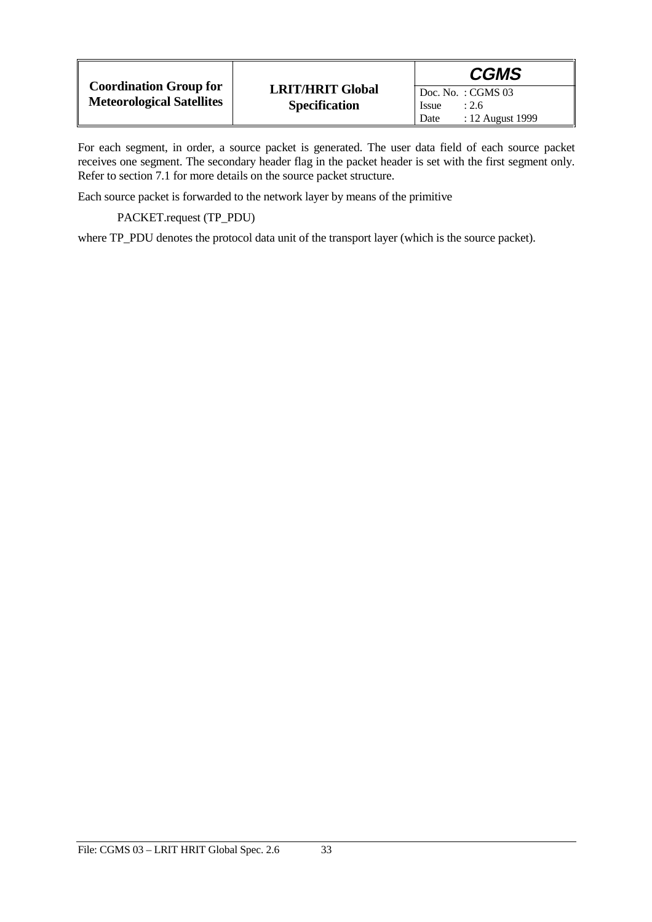|                                                                   |                                                 | <b>CGMS</b>                                       |
|-------------------------------------------------------------------|-------------------------------------------------|---------------------------------------------------|
| <b>Coordination Group for</b><br><b>Meteorological Satellites</b> | <b>LRIT/HRIT Global</b><br><b>Specification</b> | $\overline{D}$ oc. No.: CGMS 03<br>Issue<br>: 2.6 |
|                                                                   |                                                 | : 12 August 1999<br>Date                          |

For each segment, in order, a source packet is generated. The user data field of each source packet receives one segment. The secondary header flag in the packet header is set with the first segment only. Refer to section 7.1 for more details on the source packet structure.

Each source packet is forwarded to the network layer by means of the primitive

PACKET.request (TP\_PDU)

where TP\_PDU denotes the protocol data unit of the transport layer (which is the source packet).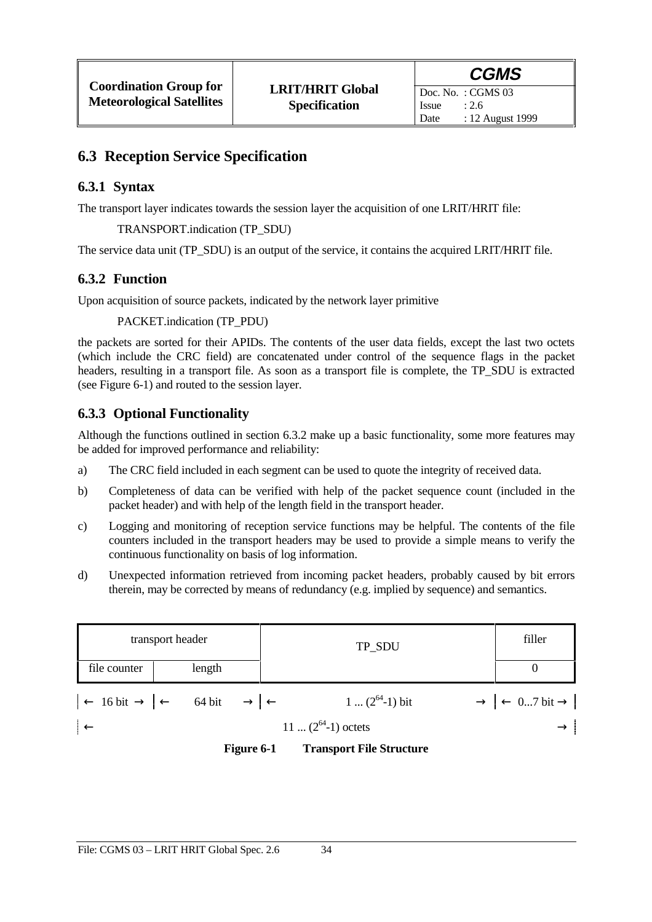### **6.3 Reception Service Specification**

### **6.3.1 Syntax**

The transport layer indicates towards the session layer the acquisition of one LRIT/HRIT file:

#### TRANSPORT.indication (TP\_SDU)

The service data unit (TP\_SDU) is an output of the service, it contains the acquired LRIT/HRIT file.

### **6.3.2 Function**

Upon acquisition of source packets, indicated by the network layer primitive

#### PACKET.indication (TP\_PDU)

the packets are sorted for their APIDs. The contents of the user data fields, except the last two octets (which include the CRC field) are concatenated under control of the sequence flags in the packet headers, resulting in a transport file. As soon as a transport file is complete, the TP\_SDU is extracted (see Figure 6-1) and routed to the session layer.

### **6.3.3 Optional Functionality**

Although the functions outlined in section 6.3.2 make up a basic functionality, some more features may be added for improved performance and reliability:

- a) The CRC field included in each segment can be used to quote the integrity of received data.
- b) Completeness of data can be verified with help of the packet sequence count (included in the packet header) and with help of the length field in the transport header.
- c) Logging and monitoring of reception service functions may be helpful. The contents of the file counters included in the transport headers may be used to provide a simple means to verify the continuous functionality on basis of log information.
- d) Unexpected information retrieved from incoming packet headers, probably caused by bit errors therein, may be corrected by means of redundancy (e.g. implied by sequence) and semantics.

| transport header<br>file counter<br>length |                                                                                                                | TP_SDU                       | filler                                          |
|--------------------------------------------|----------------------------------------------------------------------------------------------------------------|------------------------------|-------------------------------------------------|
|                                            |                                                                                                                |                              |                                                 |
|                                            | $\left  \leftarrow 16 \text{ bit} \rightarrow \left  \leftarrow 64 \text{ bit} \rightarrow \right  \leftarrow$ | $1 \dots (2^{64} - 1)$ bit   | $\rightarrow$ $\leftarrow$ 07 bit $\rightarrow$ |
|                                            |                                                                                                                | $11 \dots (2^{64}-1)$ octets |                                                 |

**Figure 6-1 Transport File Structure**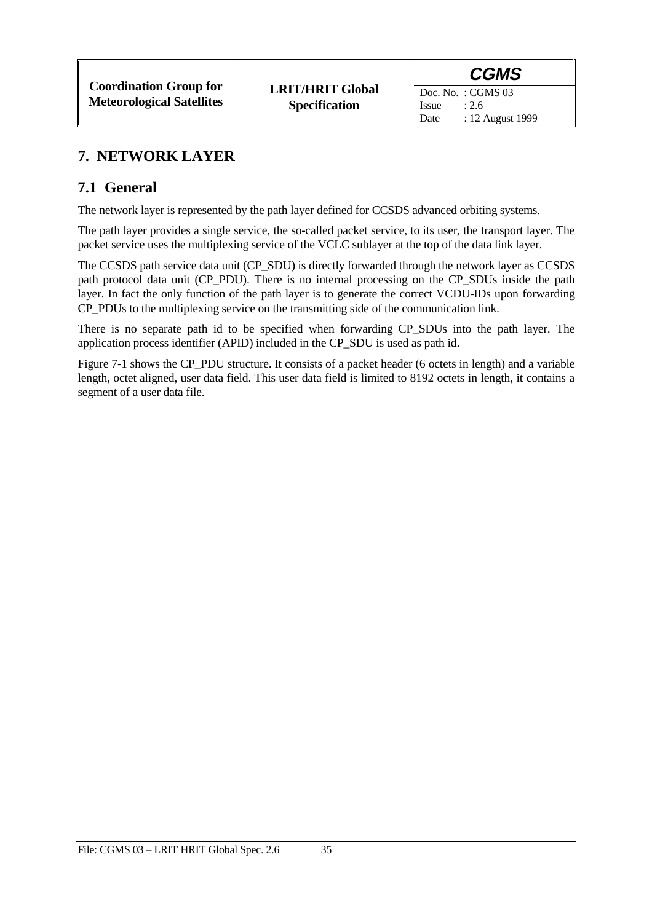Date : 12 August 1999

Issue  $: 2.6$ 

## **7. NETWORK LAYER**

### **7.1 General**

The network layer is represented by the path layer defined for CCSDS advanced orbiting systems.

The path layer provides a single service, the so-called packet service, to its user, the transport layer. The packet service uses the multiplexing service of the VCLC sublayer at the top of the data link layer.

The CCSDS path service data unit (CP\_SDU) is directly forwarded through the network layer as CCSDS path protocol data unit (CP\_PDU). There is no internal processing on the CP\_SDUs inside the path layer. In fact the only function of the path layer is to generate the correct VCDU-IDs upon forwarding CP\_PDUs to the multiplexing service on the transmitting side of the communication link.

There is no separate path id to be specified when forwarding CP\_SDUs into the path layer. The application process identifier (APID) included in the CP\_SDU is used as path id.

Figure 7-1 shows the CP\_PDU structure. It consists of a packet header (6 octets in length) and a variable length, octet aligned, user data field. This user data field is limited to 8192 octets in length, it contains a segment of a user data file.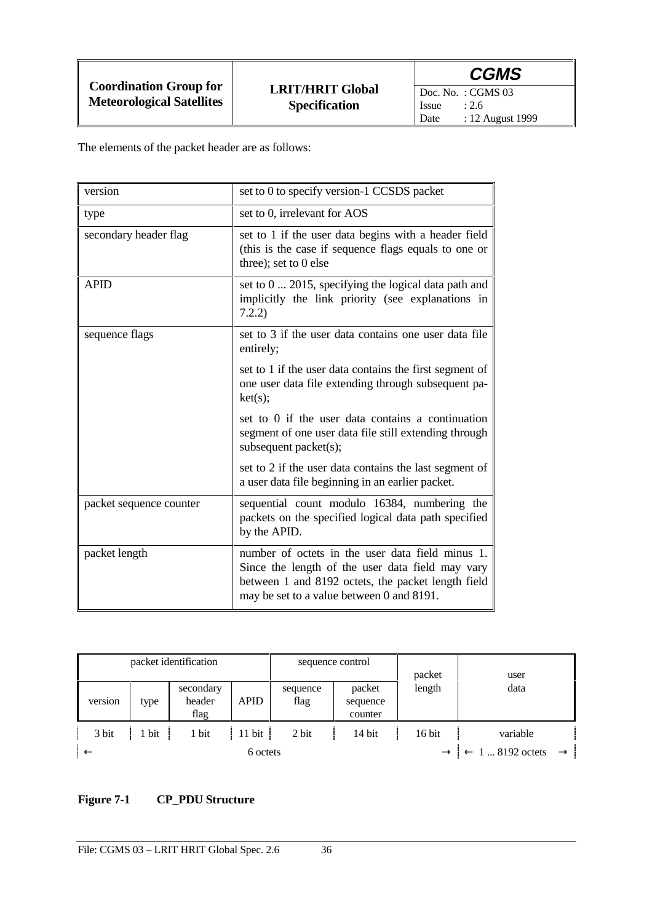Doc. No. : CGMS 03<br>Issue : 2.6 Issue<br>Date : 12 August 1999

The elements of the packet header are as follows:

| version                 | set to 0 to specify version-1 CCSDS packet                                                                                                                                                              |
|-------------------------|---------------------------------------------------------------------------------------------------------------------------------------------------------------------------------------------------------|
| type                    | set to 0, irrelevant for AOS                                                                                                                                                                            |
| secondary header flag   | set to 1 if the user data begins with a header field<br>(this is the case if sequence flags equals to one or<br>three); set to $0$ else                                                                 |
| <b>APID</b>             | set to 0  2015, specifying the logical data path and<br>implicitly the link priority (see explanations in<br>7.2.2)                                                                                     |
| sequence flags          | set to 3 if the user data contains one user data file<br>entirely;                                                                                                                                      |
|                         | set to 1 if the user data contains the first segment of<br>one user data file extending through subsequent pa-<br>ket(s);                                                                               |
|                         | set to 0 if the user data contains a continuation<br>segment of one user data file still extending through<br>subsequent packet(s);                                                                     |
|                         | set to 2 if the user data contains the last segment of<br>a user data file beginning in an earlier packet.                                                                                              |
| packet sequence counter | sequential count modulo 16384, numbering the<br>packets on the specified logical data path specified<br>by the APID.                                                                                    |
| packet length           | number of octets in the user data field minus 1.<br>Since the length of the user data field may vary<br>between 1 and 8192 octets, the packet length field<br>may be set to a value between 0 and 8191. |

|         | packet identification |                             |                    | sequence control |                               | packet   | user                                                         |
|---------|-----------------------|-----------------------------|--------------------|------------------|-------------------------------|----------|--------------------------------------------------------------|
| version | type                  | secondary<br>header<br>flag | <b>APID</b>        | sequence<br>flag | packet<br>sequence<br>counter | length   | data                                                         |
| 3 bit   | $\frac{1}{1}$ bit     | 1 bit                       | $ 11 \text{ bit} $ | 2 bit            | 14 bit                        | $16$ bit | variable                                                     |
|         |                       |                             | 6 octets           |                  |                               |          | $\rightarrow$ $\leftarrow$ 1  8192 octets<br>$\rightarrow$ 1 |

### **Figure 7-1 CP\_PDU Structure**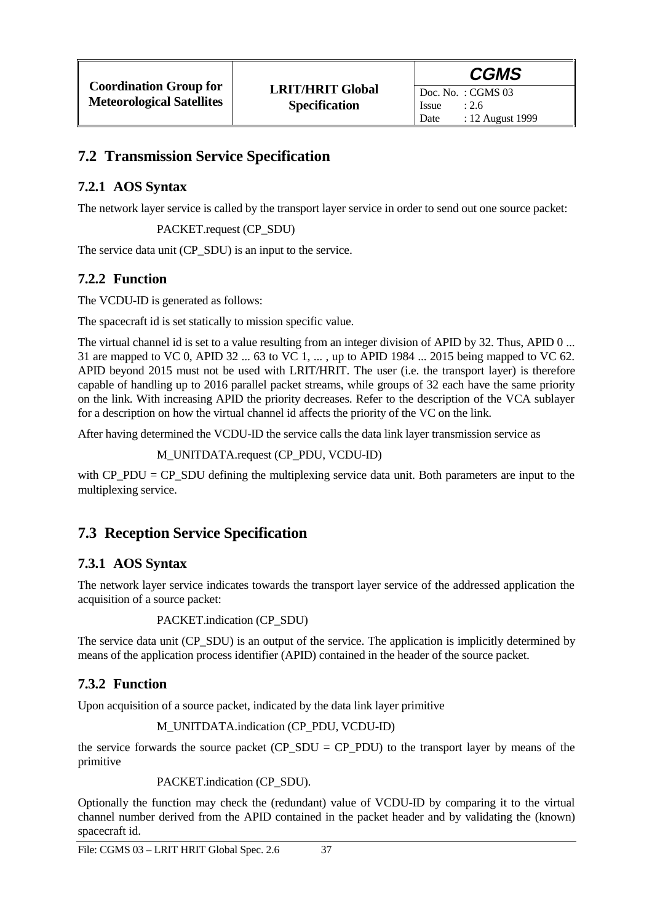Doc. No. : CGMS 03 Issue  $: 2.6$ Date : 12 August 1999

## **7.2 Transmission Service Specification**

### **7.2.1 AOS Syntax**

The network layer service is called by the transport layer service in order to send out one source packet:

PACKET.request (CP\_SDU)

The service data unit (CP\_SDU) is an input to the service.

### **7.2.2 Function**

The VCDU-ID is generated as follows:

The spacecraft id is set statically to mission specific value.

The virtual channel id is set to a value resulting from an integer division of APID by 32. Thus, APID 0 ... 31 are mapped to VC 0, APID 32 ... 63 to VC 1, ... , up to APID 1984 ... 2015 being mapped to VC 62. APID beyond 2015 must not be used with LRIT/HRIT. The user (i.e. the transport layer) is therefore capable of handling up to 2016 parallel packet streams, while groups of 32 each have the same priority on the link. With increasing APID the priority decreases. Refer to the description of the VCA sublayer for a description on how the virtual channel id affects the priority of the VC on the link.

After having determined the VCDU-ID the service calls the data link layer transmission service as

```
M_UNITDATA.request (CP_PDU, VCDU-ID)
```
with CP\_PDU = CP\_SDU defining the multiplexing service data unit. Both parameters are input to the multiplexing service.

# **7.3 Reception Service Specification**

### **7.3.1 AOS Syntax**

The network layer service indicates towards the transport layer service of the addressed application the acquisition of a source packet:

```
PACKET.indication (CP_SDU)
```
The service data unit (CP\_SDU) is an output of the service. The application is implicitly determined by means of the application process identifier (APID) contained in the header of the source packet.

### **7.3.2 Function**

Upon acquisition of a source packet, indicated by the data link layer primitive

```
M_UNITDATA.indication (CP_PDU, VCDU-ID)
```
the service forwards the source packet ( $CP\_SDU = CP\_PDU$ ) to the transport layer by means of the primitive

PACKET.indication (CP\_SDU).

Optionally the function may check the (redundant) value of VCDU-ID by comparing it to the virtual channel number derived from the APID contained in the packet header and by validating the (known) spacecraft id.

File: CGMS 03 - LRIT HRIT Global Spec. 2.6 37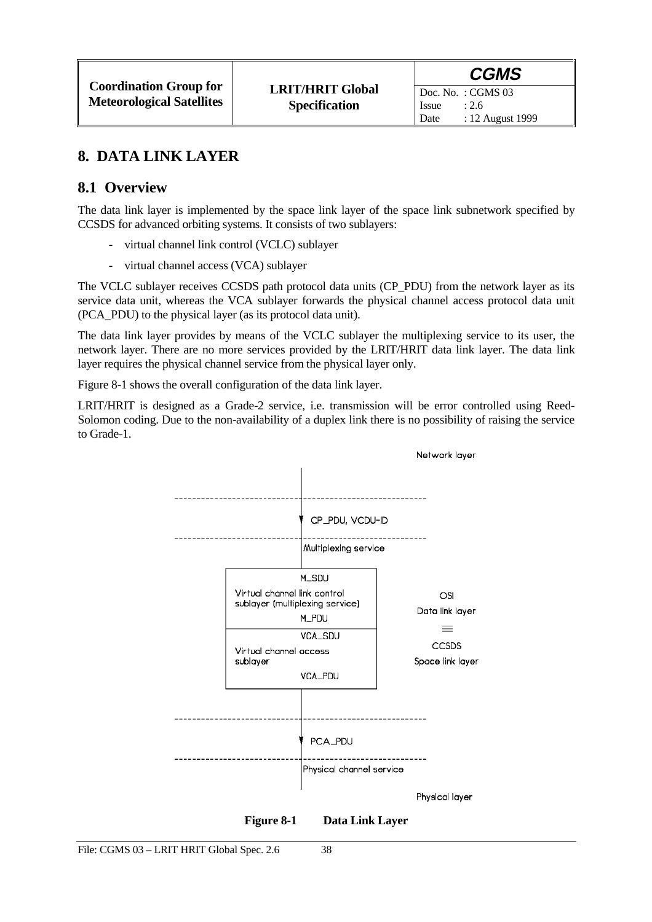## **8. DATA LINK LAYER**

### **8.1 Overview**

The data link layer is implemented by the space link layer of the space link subnetwork specified by CCSDS for advanced orbiting systems. It consists of two sublayers:

- virtual channel link control (VCLC) sublayer
- virtual channel access (VCA) sublayer

The VCLC sublayer receives CCSDS path protocol data units (CP\_PDU) from the network layer as its service data unit, whereas the VCA sublayer forwards the physical channel access protocol data unit (PCA\_PDU) to the physical layer (as its protocol data unit).

The data link layer provides by means of the VCLC sublayer the multiplexing service to its user, the network layer. There are no more services provided by the LRIT/HRIT data link layer. The data link layer requires the physical channel service from the physical layer only.

Figure 8-1 shows the overall configuration of the data link layer.

LRIT/HRIT is designed as a Grade-2 service, i.e. transmission will be error controlled using Reed-Solomon coding. Due to the non-availability of a duplex link there is no possibility of raising the service to Grade-1.



**Figure 8-1 Data Link Layer**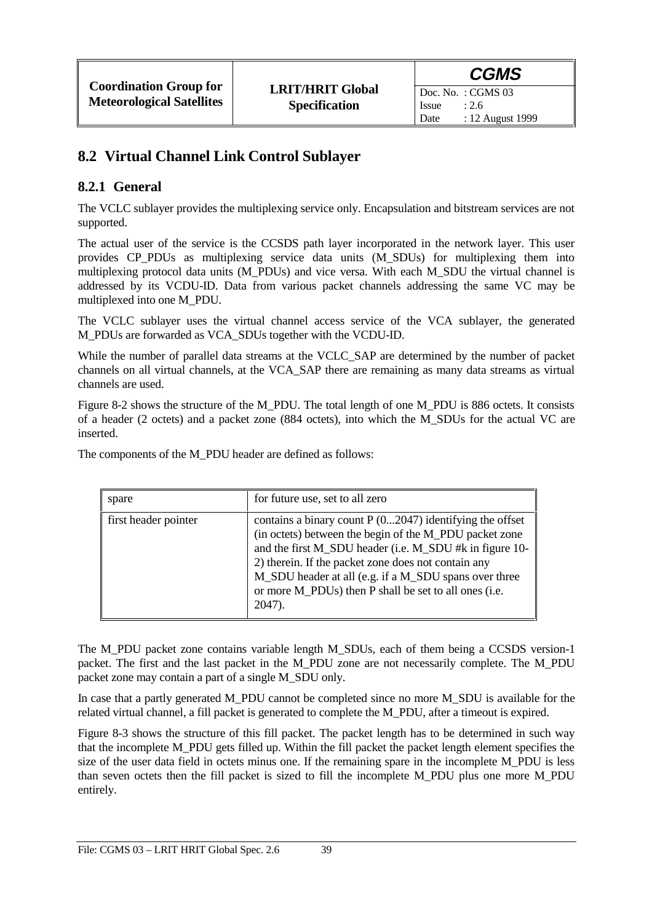## **8.2 Virtual Channel Link Control Sublayer**

### **8.2.1 General**

The VCLC sublayer provides the multiplexing service only. Encapsulation and bitstream services are not supported.

The actual user of the service is the CCSDS path layer incorporated in the network layer. This user provides CP\_PDUs as multiplexing service data units (M\_SDUs) for multiplexing them into multiplexing protocol data units (M\_PDUs) and vice versa. With each M\_SDU the virtual channel is addressed by its VCDU-ID. Data from various packet channels addressing the same VC may be multiplexed into one M\_PDU.

The VCLC sublayer uses the virtual channel access service of the VCA sublayer, the generated M\_PDUs are forwarded as VCA\_SDUs together with the VCDU-ID.

While the number of parallel data streams at the VCLC\_SAP are determined by the number of packet channels on all virtual channels, at the VCA\_SAP there are remaining as many data streams as virtual channels are used.

Figure 8-2 shows the structure of the M\_PDU. The total length of one M\_PDU is 886 octets. It consists of a header (2 octets) and a packet zone (884 octets), into which the M\_SDUs for the actual VC are inserted.

The components of the M\_PDU header are defined as follows:

| spare                | for future use, set to all zero                                                                                                                                                                                                                                                                                                                                      |
|----------------------|----------------------------------------------------------------------------------------------------------------------------------------------------------------------------------------------------------------------------------------------------------------------------------------------------------------------------------------------------------------------|
| first header pointer | contains a binary count $P(02047)$ identifying the offset<br>(in octets) between the begin of the M_PDU packet zone<br>and the first M_SDU header (i.e. M_SDU #k in figure 10-<br>2) therein. If the packet zone does not contain any<br>M_SDU header at all (e.g. if a M_SDU spans over three<br>or more M_PDUs) then P shall be set to all ones (i.e.<br>$2047$ ). |

The M\_PDU packet zone contains variable length M\_SDUs, each of them being a CCSDS version-1 packet. The first and the last packet in the M\_PDU zone are not necessarily complete. The M\_PDU packet zone may contain a part of a single M\_SDU only.

In case that a partly generated M\_PDU cannot be completed since no more M\_SDU is available for the related virtual channel, a fill packet is generated to complete the M\_PDU, after a timeout is expired.

Figure 8-3 shows the structure of this fill packet. The packet length has to be determined in such way that the incomplete M\_PDU gets filled up. Within the fill packet the packet length element specifies the size of the user data field in octets minus one. If the remaining spare in the incomplete M\_PDU is less than seven octets then the fill packet is sized to fill the incomplete M\_PDU plus one more M\_PDU entirely.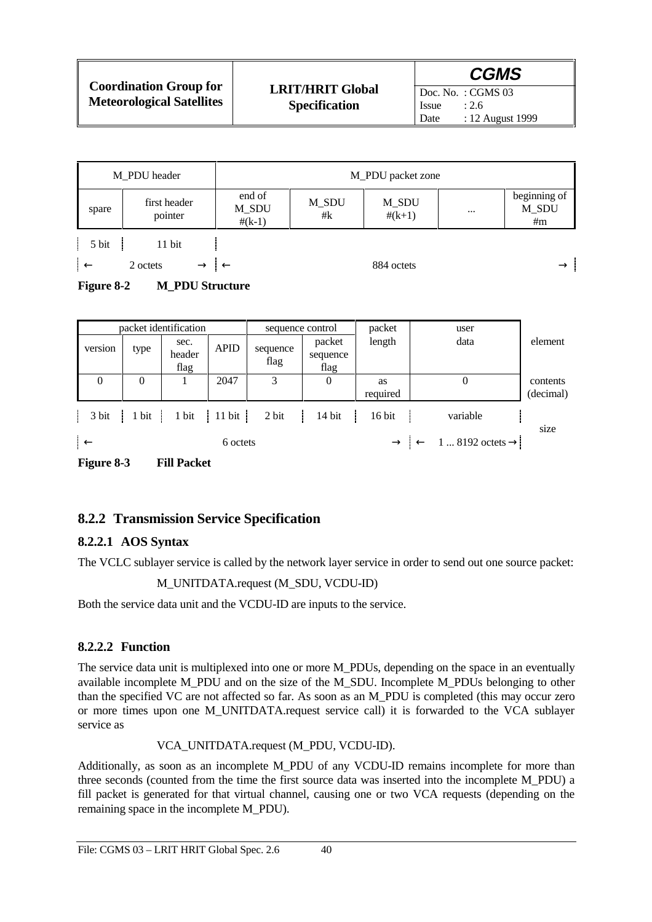| <b>Coordination Group for</b><br><b>Meteorological Satellites</b> |                                                 | <b>CGMS</b>                                                              |
|-------------------------------------------------------------------|-------------------------------------------------|--------------------------------------------------------------------------|
|                                                                   | <b>LRIT/HRIT Global</b><br><b>Specification</b> | Doc. No.: $CGMS$ 03<br><i>Issue</i><br>: 2.6<br>: 12 August 1999<br>Date |

| M PDU header  |                         |                             |             | M_PDU packet zone |          |                             |
|---------------|-------------------------|-----------------------------|-------------|-------------------|----------|-----------------------------|
| spare         | first header<br>pointer | end of<br>M_SDU<br>$#(k-1)$ | M_SDU<br>#k | M_SDU<br>$#(k+1)$ | $\cdots$ | beginning of<br>M_SDU<br>#m |
| 5 bit         | 11 bit                  |                             |             |                   |          |                             |
| $ \leftarrow$ | 2 octets                | $\rightarrow$ 1             |             | 884 octets        |          | $\rightarrow$               |

#### Figure 8-2 M PDU Structure

|                                        |          | packet identification        |             | sequence control |                            | packet   | user                                                    |           |
|----------------------------------------|----------|------------------------------|-------------|------------------|----------------------------|----------|---------------------------------------------------------|-----------|
| version                                | type     | sec.<br>header<br>flag       | <b>APID</b> | sequence<br>flag | packet<br>sequence<br>flag | length   | data                                                    | element   |
| $\Omega$                               | $\theta$ |                              | 2047        | 3                | $\boldsymbol{0}$           | as       | 0                                                       | contents  |
|                                        |          |                              |             |                  |                            | required |                                                         | (decimal) |
| 3 bit                                  | 1 bit    | $1 \text{ bit}$ 11 bit 2 bit |             |                  | $14$ bit                   | $16$ bit | variable                                                | size      |
| $\rightarrow$ $\overline{\phantom{a}}$ |          |                              | 6 octets    |                  |                            |          | $\rightarrow$ $\leftarrow$ 1  8192 octets $\rightarrow$ |           |
| Figure 8-3                             |          | <b>Fill Packet</b>           |             |                  |                            |          |                                                         |           |

# **8.2.2 Transmission Service Specification**

### **8.2.2.1 AOS Syntax**

The VCLC sublayer service is called by the network layer service in order to send out one source packet:

M\_UNITDATA.request (M\_SDU, VCDU-ID)

Both the service data unit and the VCDU-ID are inputs to the service.

#### **8.2.2.2 Function**

The service data unit is multiplexed into one or more M\_PDUs, depending on the space in an eventually available incomplete M\_PDU and on the size of the M\_SDU. Incomplete M\_PDUs belonging to other than the specified VC are not affected so far. As soon as an M\_PDU is completed (this may occur zero or more times upon one M\_UNITDATA.request service call) it is forwarded to the VCA sublayer service as

VCA\_UNITDATA.request (M\_PDU, VCDU-ID).

Additionally, as soon as an incomplete M\_PDU of any VCDU-ID remains incomplete for more than three seconds (counted from the time the first source data was inserted into the incomplete M\_PDU) a fill packet is generated for that virtual channel, causing one or two VCA requests (depending on the remaining space in the incomplete M\_PDU).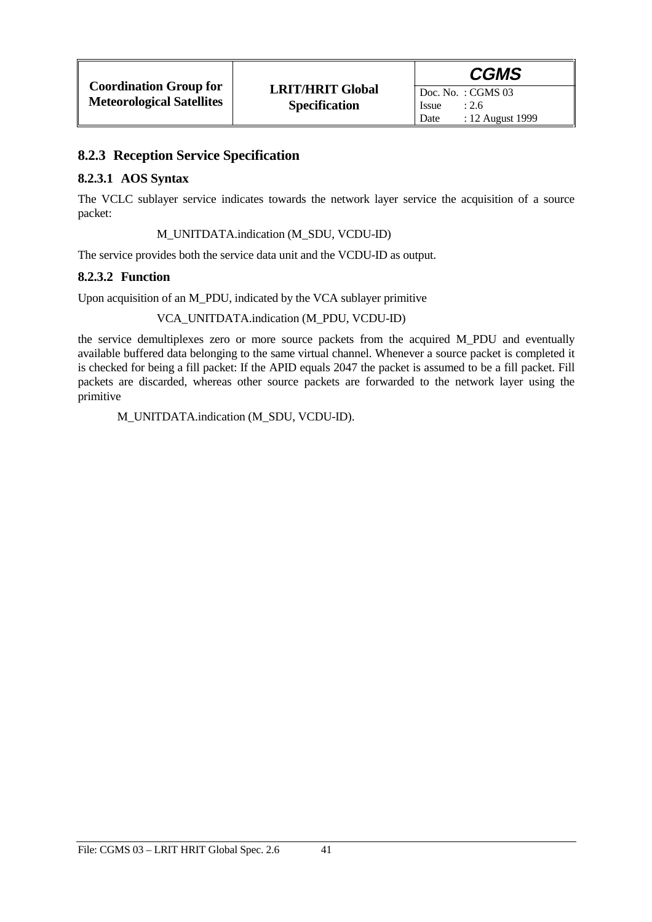### **8.2.3 Reception Service Specification**

#### **8.2.3.1 AOS Syntax**

The VCLC sublayer service indicates towards the network layer service the acquisition of a source packet:

M\_UNITDATA.indication (M\_SDU, VCDU-ID)

The service provides both the service data unit and the VCDU-ID as output.

#### **8.2.3.2 Function**

Upon acquisition of an M\_PDU, indicated by the VCA sublayer primitive

#### VCA\_UNITDATA.indication (M\_PDU, VCDU-ID)

the service demultiplexes zero or more source packets from the acquired M\_PDU and eventually available buffered data belonging to the same virtual channel. Whenever a source packet is completed it is checked for being a fill packet: If the APID equals 2047 the packet is assumed to be a fill packet. Fill packets are discarded, whereas other source packets are forwarded to the network layer using the primitive

M\_UNITDATA.indication (M\_SDU, VCDU-ID).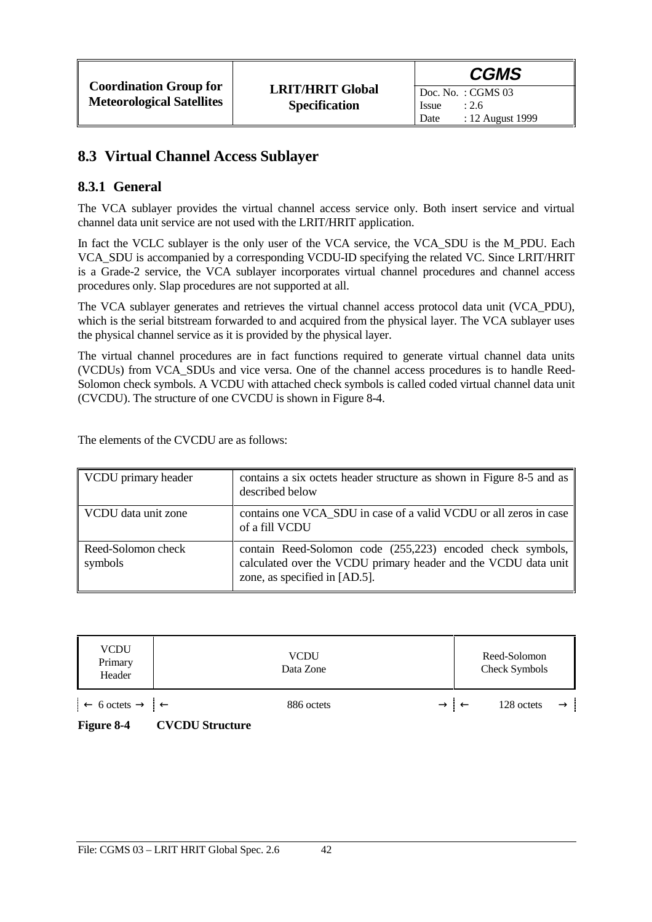### **8.3 Virtual Channel Access Sublayer**

### **8.3.1 General**

The VCA sublayer provides the virtual channel access service only. Both insert service and virtual channel data unit service are not used with the LRIT/HRIT application.

In fact the VCLC sublayer is the only user of the VCA service, the VCA SDU is the M\_PDU. Each VCA\_SDU is accompanied by a corresponding VCDU-ID specifying the related VC. Since LRIT/HRIT is a Grade-2 service, the VCA sublayer incorporates virtual channel procedures and channel access procedures only. Slap procedures are not supported at all.

The VCA sublayer generates and retrieves the virtual channel access protocol data unit (VCA\_PDU), which is the serial bitstream forwarded to and acquired from the physical layer. The VCA sublayer uses the physical channel service as it is provided by the physical layer.

The virtual channel procedures are in fact functions required to generate virtual channel data units (VCDUs) from VCA\_SDUs and vice versa. One of the channel access procedures is to handle Reed-Solomon check symbols. A VCDU with attached check symbols is called coded virtual channel data unit (CVCDU). The structure of one CVCDU is shown in Figure 8-4.

The elements of the CVCDU are as follows:

| VCDU primary header           | contains a six octets header structure as shown in Figure 8-5 and as<br>described below                                                                         |
|-------------------------------|-----------------------------------------------------------------------------------------------------------------------------------------------------------------|
| VCDU data unit zone           | contains one VCA SDU in case of a valid VCDU or all zeros in case<br>of a fill VCDU                                                                             |
| Reed-Solomon check<br>symbols | contain Reed-Solomon code (255,223) encoded check symbols,<br>calculated over the VCDU primary header and the VCDU data unit  <br>zone, as specified in [AD.5]. |

| <b>VCDU</b><br>Primary<br>Header                                                                                      | <b>VCDU</b><br>Data Zone | Reed-Solomon<br>Check Symbols |
|-----------------------------------------------------------------------------------------------------------------------|--------------------------|-------------------------------|
| $\left  \leftarrow 6 \text{ octets} \rightarrow \right  \leftarrow$<br>T.<br>$\alpha$<br>$^{\circ}$<br>$\overline{ }$ | 886 octets               | 128 octets<br>$\rightarrow$ 1 |

**Figure 8-4 CVCDU Structure**

File: CGMS 03 – LRIT HRIT Global Spec. 2.6 42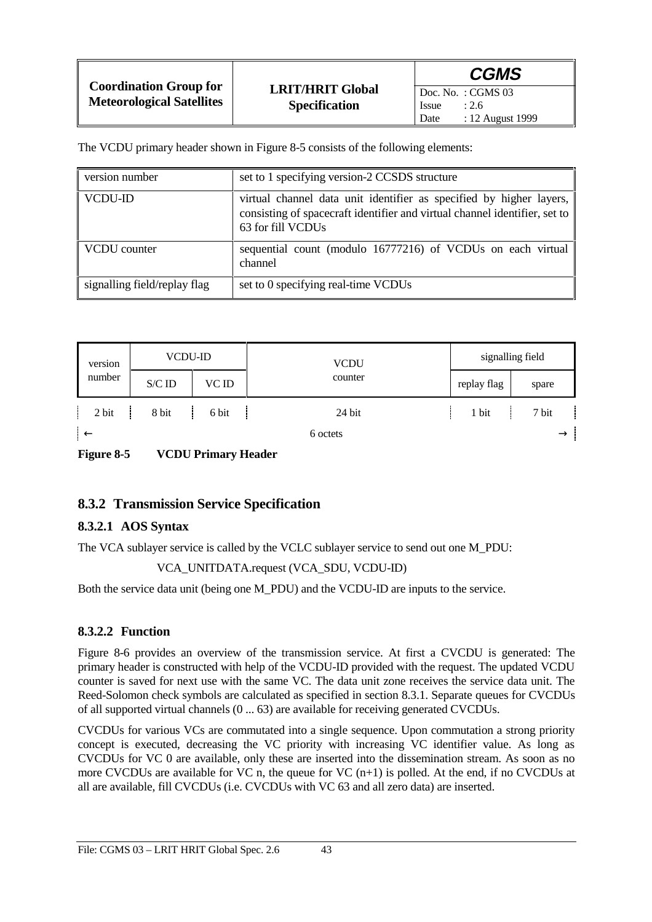|                                                                   |                                                 | <b>CGMS</b>                                                                    |
|-------------------------------------------------------------------|-------------------------------------------------|--------------------------------------------------------------------------------|
| <b>Coordination Group for</b><br><b>Meteorological Satellites</b> | <b>LRIT/HRIT Global</b><br><b>Specification</b> | $\vert$ Doc. No.: CGMS 03<br><b>Issue</b><br>: 2.6<br>: 12 August 1999<br>Date |

The VCDU primary header shown in Figure 8-5 consists of the following elements:

| version number               | set to 1 specifying version-2 CCSDS structure                                                                                                                            |
|------------------------------|--------------------------------------------------------------------------------------------------------------------------------------------------------------------------|
| <b>VCDU-ID</b>               | virtual channel data unit identifier as specified by higher layers,  <br>consisting of spacecraft identifier and virtual channel identifier, set to<br>63 for fill VCDUs |
| VCDU counter                 | sequential count (modulo 16777216) of VCDUs on each virtual<br>channel                                                                                                   |
| signalling field/replay flag | set to 0 specifying real-time VCDUs                                                                                                                                      |

| version      | <b>VCDU-ID</b> |       | <b>VCDU</b> | signalling field |               |
|--------------|----------------|-------|-------------|------------------|---------------|
| number       | S/C ID         | VC ID | counter     | replay flag      | spare         |
| 2 bit        | 8 bit          | 6 bit | 24 bit      | 1 bit            | 7 bit         |
| $\leftarrow$ |                |       | 6 octets    |                  | $\rightarrow$ |

**Figure 8-5 VCDU Primary Header**

### **8.3.2 Transmission Service Specification**

#### **8.3.2.1 AOS Syntax**

The VCA sublayer service is called by the VCLC sublayer service to send out one M\_PDU:

#### VCA\_UNITDATA.request (VCA\_SDU, VCDU-ID)

Both the service data unit (being one M\_PDU) and the VCDU-ID are inputs to the service.

#### **8.3.2.2 Function**

Figure 8-6 provides an overview of the transmission service. At first a CVCDU is generated: The primary header is constructed with help of the VCDU-ID provided with the request. The updated VCDU counter is saved for next use with the same VC. The data unit zone receives the service data unit. The Reed-Solomon check symbols are calculated as specified in section 8.3.1. Separate queues for CVCDUs of all supported virtual channels (0 ... 63) are available for receiving generated CVCDUs.

CVCDUs for various VCs are commutated into a single sequence. Upon commutation a strong priority concept is executed, decreasing the VC priority with increasing VC identifier value. As long as CVCDUs for VC 0 are available, only these are inserted into the dissemination stream. As soon as no more CVCDUs are available for VC n, the queue for VC (n+1) is polled. At the end, if no CVCDUs at all are available, fill CVCDUs (i.e. CVCDUs with VC 63 and all zero data) are inserted.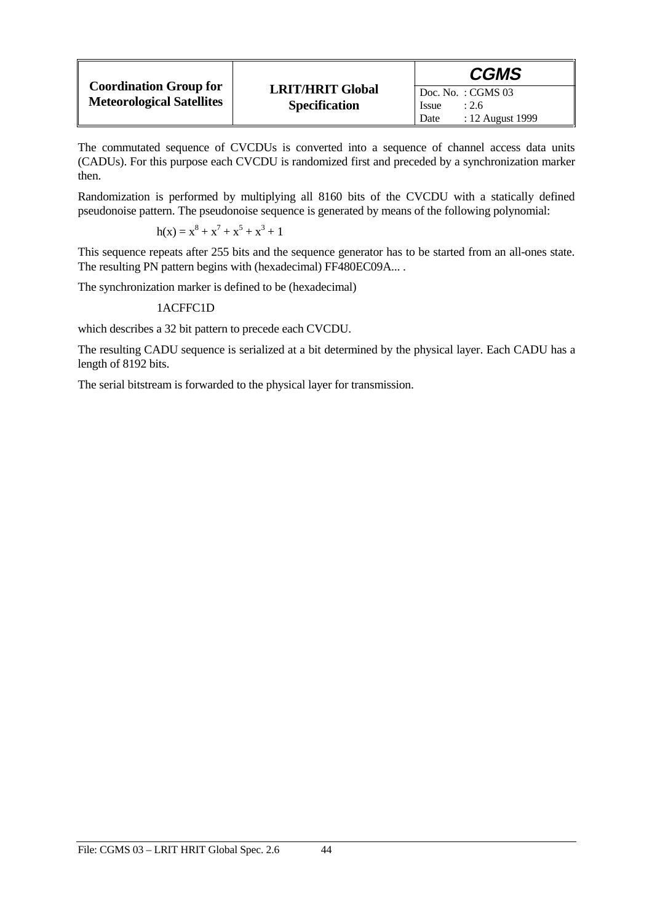|                                                                   |                                                 | <b>CGMS</b>                                       |
|-------------------------------------------------------------------|-------------------------------------------------|---------------------------------------------------|
| <b>Coordination Group for</b><br><b>Meteorological Satellites</b> | <b>LRIT/HRIT Global</b><br><b>Specification</b> | $\overline{D}$ oc. No.: CGMS 03<br>: 2.6<br>Issue |
|                                                                   |                                                 | : 12 August 1999<br>Date                          |

The commutated sequence of CVCDUs is converted into a sequence of channel access data units (CADUs). For this purpose each CVCDU is randomized first and preceded by a synchronization marker then.

Randomization is performed by multiplying all 8160 bits of the CVCDU with a statically defined pseudonoise pattern. The pseudonoise sequence is generated by means of the following polynomial:

$$
h(x) = x^8 + x^7 + x^5 + x^3 + 1
$$

This sequence repeats after 255 bits and the sequence generator has to be started from an all-ones state. The resulting PN pattern begins with (hexadecimal) FF480EC09A... .

The synchronization marker is defined to be (hexadecimal)

#### 1ACFFC1D

which describes a 32 bit pattern to precede each CVCDU.

The resulting CADU sequence is serialized at a bit determined by the physical layer. Each CADU has a length of 8192 bits.

The serial bitstream is forwarded to the physical layer for transmission.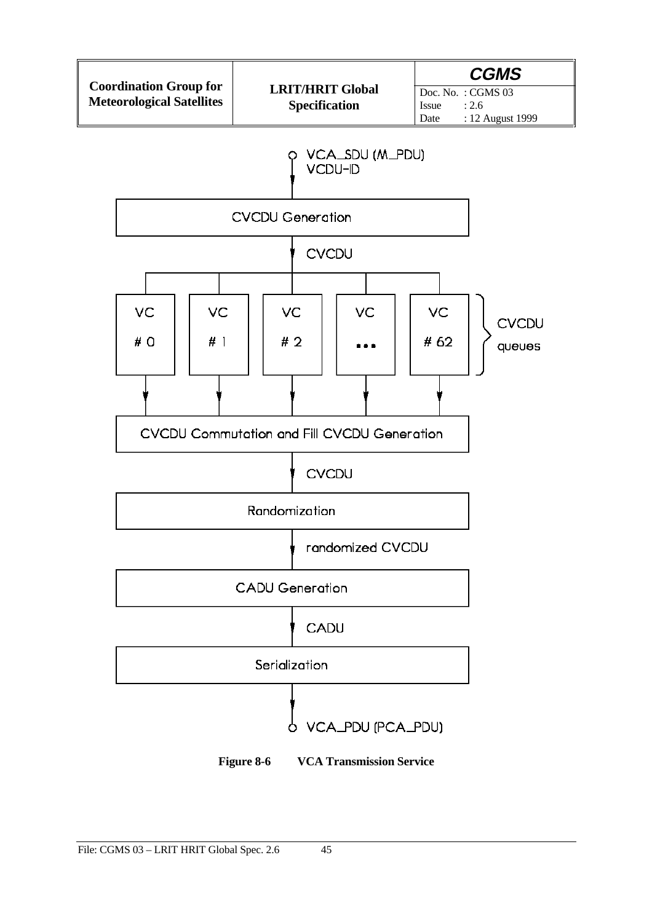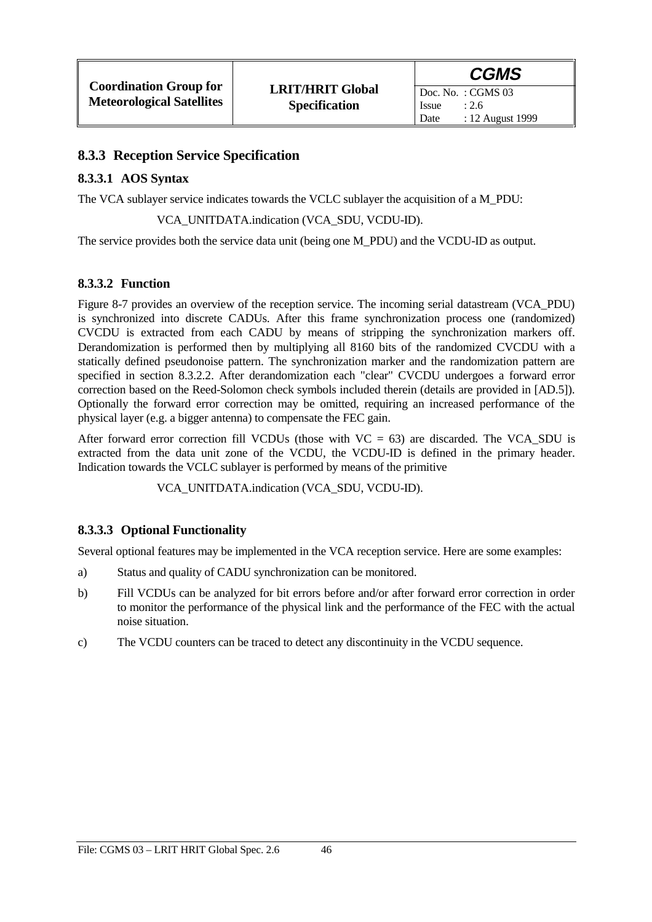#### **8.3.3 Reception Service Specification**

#### **8.3.3.1 AOS Syntax**

The VCA sublayer service indicates towards the VCLC sublayer the acquisition of a M\_PDU:

VCA\_UNITDATA.indication (VCA\_SDU, VCDU-ID).

The service provides both the service data unit (being one M\_PDU) and the VCDU-ID as output.

#### **8.3.3.2 Function**

Figure 8-7 provides an overview of the reception service. The incoming serial datastream (VCA\_PDU) is synchronized into discrete CADUs. After this frame synchronization process one (randomized) CVCDU is extracted from each CADU by means of stripping the synchronization markers off. Derandomization is performed then by multiplying all 8160 bits of the randomized CVCDU with a statically defined pseudonoise pattern. The synchronization marker and the randomization pattern are specified in section 8.3.2.2. After derandomization each "clear" CVCDU undergoes a forward error correction based on the Reed-Solomon check symbols included therein (details are provided in [AD.5]). Optionally the forward error correction may be omitted, requiring an increased performance of the physical layer (e.g. a bigger antenna) to compensate the FEC gain.

After forward error correction fill VCDUs (those with  $VC = 63$ ) are discarded. The VCA SDU is extracted from the data unit zone of the VCDU, the VCDU-ID is defined in the primary header. Indication towards the VCLC sublayer is performed by means of the primitive

VCA\_UNITDATA.indication (VCA\_SDU, VCDU-ID).

#### **8.3.3.3 Optional Functionality**

Several optional features may be implemented in the VCA reception service. Here are some examples:

- a) Status and quality of CADU synchronization can be monitored.
- b) Fill VCDUs can be analyzed for bit errors before and/or after forward error correction in order to monitor the performance of the physical link and the performance of the FEC with the actual noise situation.
- c) The VCDU counters can be traced to detect any discontinuity in the VCDU sequence.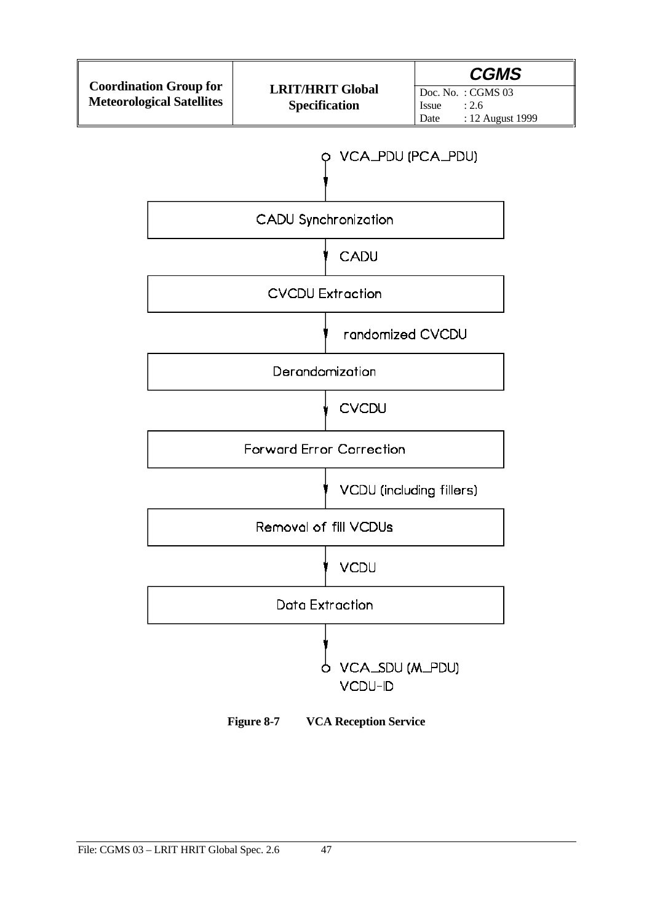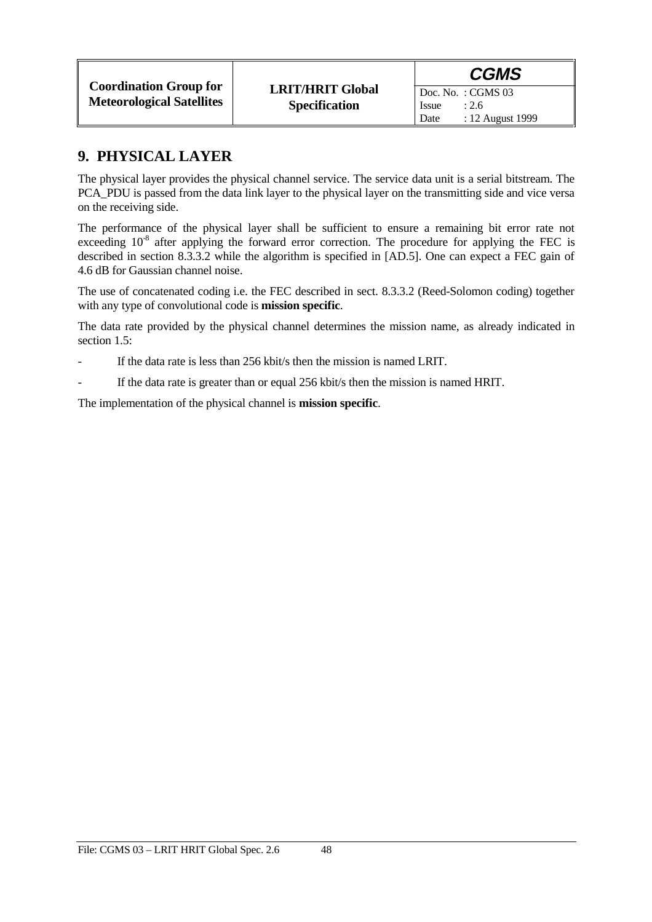Date : 12 August 1999

Issue  $: 2.6$ 

### **9. PHYSICAL LAYER**

The physical layer provides the physical channel service. The service data unit is a serial bitstream. The PCA\_PDU is passed from the data link layer to the physical layer on the transmitting side and vice versa on the receiving side.

The performance of the physical layer shall be sufficient to ensure a remaining bit error rate not exceeding  $10^{-8}$  after applying the forward error correction. The procedure for applying the FEC is described in section 8.3.3.2 while the algorithm is specified in [AD.5]. One can expect a FEC gain of 4.6 dB for Gaussian channel noise.

The use of concatenated coding i.e. the FEC described in sect. 8.3.3.2 (Reed-Solomon coding) together with any type of convolutional code is **mission specific**.

The data rate provided by the physical channel determines the mission name, as already indicated in section 1.5:

- If the data rate is less than 256 kbit/s then the mission is named LRIT.
- If the data rate is greater than or equal 256 kbit/s then the mission is named HRIT.

The implementation of the physical channel is **mission specific**.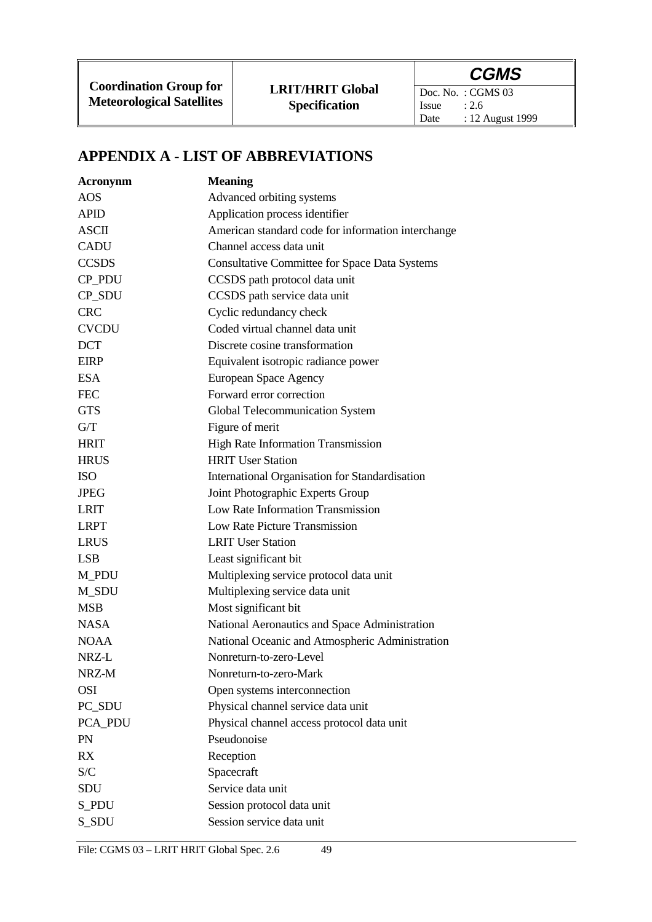Doc. No. : CGMS 03<br>Issue : 2.6 Issue : 2.6<br>Date : 12 : 12 August 1999

# **APPENDIX A - LIST OF ABBREVIATIONS**

| <b>Acronynm</b> | <b>Meaning</b>                                       |
|-----------------|------------------------------------------------------|
| <b>AOS</b>      | Advanced orbiting systems                            |
| <b>APID</b>     | Application process identifier                       |
| <b>ASCII</b>    | American standard code for information interchange   |
| <b>CADU</b>     | Channel access data unit                             |
| <b>CCSDS</b>    | <b>Consultative Committee for Space Data Systems</b> |
| CP_PDU          | CCSDS path protocol data unit                        |
| CP_SDU          | CCSDS path service data unit                         |
| <b>CRC</b>      | Cyclic redundancy check                              |
| <b>CVCDU</b>    | Coded virtual channel data unit                      |
| <b>DCT</b>      | Discrete cosine transformation                       |
| <b>EIRP</b>     | Equivalent isotropic radiance power                  |
| <b>ESA</b>      | European Space Agency                                |
| <b>FEC</b>      | Forward error correction                             |
| <b>GTS</b>      | Global Telecommunication System                      |
| G/T             | Figure of merit                                      |
| <b>HRIT</b>     | High Rate Information Transmission                   |
| <b>HRUS</b>     | <b>HRIT User Station</b>                             |
| <b>ISO</b>      | International Organisation for Standardisation       |
| <b>JPEG</b>     | Joint Photographic Experts Group                     |
| <b>LRIT</b>     | Low Rate Information Transmission                    |
| <b>LRPT</b>     | Low Rate Picture Transmission                        |
| <b>LRUS</b>     | <b>LRIT User Station</b>                             |
| <b>LSB</b>      | Least significant bit                                |
| M_PDU           | Multiplexing service protocol data unit              |
| M_SDU           | Multiplexing service data unit                       |
| <b>MSB</b>      | Most significant bit                                 |
| <b>NASA</b>     | National Aeronautics and Space Administration        |
| <b>NOAA</b>     | National Oceanic and Atmospheric Administration      |
| NRZ-L           | Nonreturn-to-zero-Level                              |
| NRZ-M           | Nonreturn-to-zero-Mark                               |
| <b>OSI</b>      | Open systems interconnection                         |
| PC_SDU          | Physical channel service data unit                   |
| PCA_PDU         | Physical channel access protocol data unit           |
| PN              | Pseudonoise                                          |
| <b>RX</b>       | Reception                                            |
| S/C             | Spacecraft                                           |
| SDU             | Service data unit                                    |
| S_PDU           | Session protocol data unit                           |
| S_SDU           | Session service data unit                            |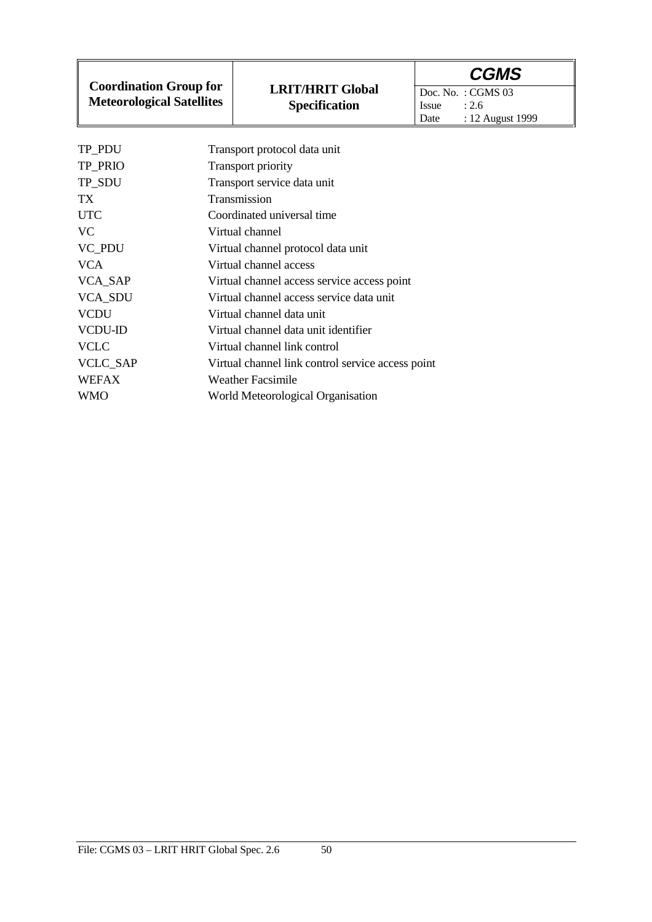**Coordination Group for Meteorological Satellites**

Doc. No. : CGMS 03<br>Issue : 2.6 Issue<br>Date : 12 August 1999

| Transport protocol data unit                      |
|---------------------------------------------------|
|                                                   |
| Transport priority                                |
| Transport service data unit                       |
| Transmission                                      |
| Coordinated universal time                        |
| Virtual channel                                   |
| Virtual channel protocol data unit                |
| Virtual channel access                            |
| Virtual channel access service access point       |
| Virtual channel access service data unit          |
| Virtual channel data unit                         |
| Virtual channel data unit identifier              |
| Virtual channel link control                      |
| Virtual channel link control service access point |
| <b>Weather Facsimile</b>                          |
| World Meteorological Organisation                 |
|                                                   |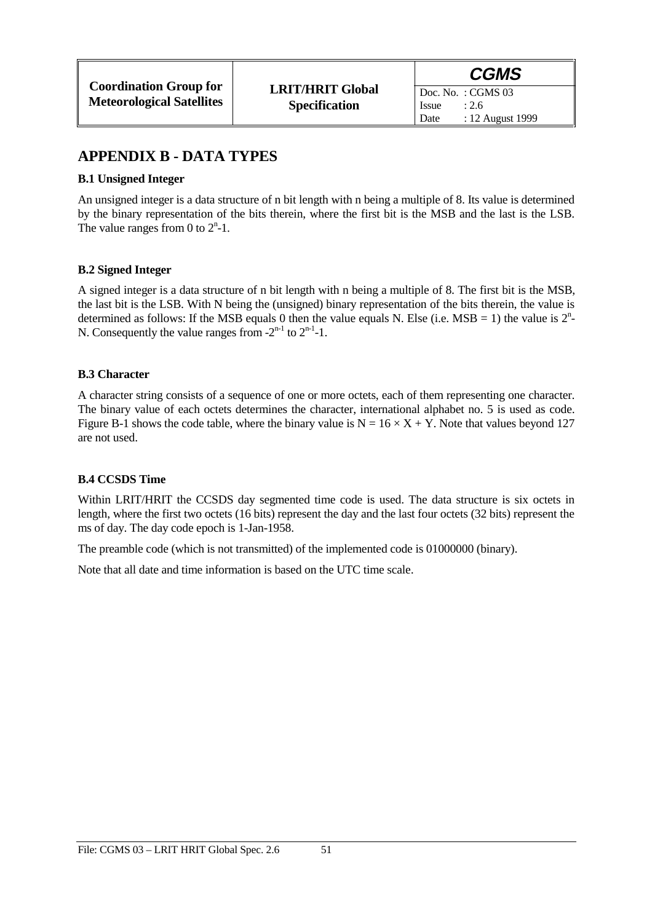### **APPENDIX B - DATA TYPES**

#### **B.1 Unsigned Integer**

An unsigned integer is a data structure of n bit length with n being a multiple of 8. Its value is determined by the binary representation of the bits therein, where the first bit is the MSB and the last is the LSB. The value ranges from 0 to  $2<sup>n</sup> - 1$ .

#### **B.2 Signed Integer**

A signed integer is a data structure of n bit length with n being a multiple of 8. The first bit is the MSB, the last bit is the LSB. With N being the (unsigned) binary representation of the bits therein, the value is determined as follows: If the MSB equals 0 then the value equals N. Else (i.e. MSB = 1) the value is  $2<sup>n</sup>$ -N. Consequently the value ranges from  $-2^{n-1}$  to  $2^{n-1}-1$ .

#### **B.3 Character**

A character string consists of a sequence of one or more octets, each of them representing one character. The binary value of each octets determines the character, international alphabet no. 5 is used as code. Figure B-1 shows the code table, where the binary value is  $N = 16 \times X + Y$ . Note that values beyond 127 are not used.

#### **B.4 CCSDS Time**

Within LRIT/HRIT the CCSDS day segmented time code is used. The data structure is six octets in length, where the first two octets (16 bits) represent the day and the last four octets (32 bits) represent the ms of day. The day code epoch is 1-Jan-1958.

The preamble code (which is not transmitted) of the implemented code is 01000000 (binary).

Note that all date and time information is based on the UTC time scale.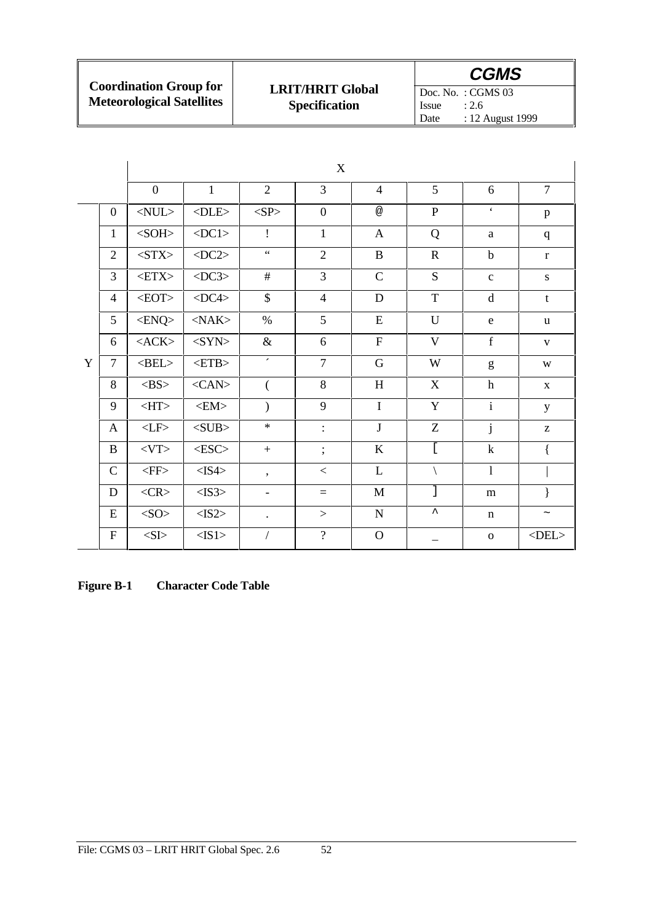| <b>Coordination Group for</b>    |
|----------------------------------|
| <b>Meteorological Satellites</b> |

Doc. No. : CGMS 03<br>Issue : 2.6 Issue : 2.6<br>Date : 12 *A* : 12 August 1999

|   |                | X                     |                       |                          |                |                |                       |                      |                |
|---|----------------|-----------------------|-----------------------|--------------------------|----------------|----------------|-----------------------|----------------------|----------------|
|   |                | $\overline{0}$        | $\mathbf{1}$          | $\overline{2}$           | 3              | $\overline{4}$ | 5                     | 6                    | $\overline{7}$ |
| Y | $\overline{0}$ | $<$ NUL $>$           | $<$ DLE>              | $<\!\!SP\!\!>$           | $\overline{0}$ | @              | $\mathbf{P}$          | $\boldsymbol{\zeta}$ | p              |
|   | $\mathbf{1}$   | $<$ SOH $>$           | $<$ DC1>              | $\mathbf{I}$             | $\mathbf{1}$   | $\mathbf{A}$   | Q                     | a                    | $\mathbf{q}$   |
|   | $\overline{2}$ | $<$ STX $>$           | $\langle DC2 \rangle$ | $\epsilon \, \epsilon$   | $\overline{2}$ | $\, {\bf B}$   | $\mathbf R$           | $\mathbf b$          | $\mathbf r$    |
|   | $\overline{3}$ | $\textrm{$            | $\langle$ DC3>        | #                        | $\overline{3}$ | $\mathbf C$    | S                     | $\mathbf c$          | ${\bf S}$      |
|   | $\overline{4}$ | $<$ EOT $>$           | $<$ DC4 $>$           | $\mathcal{S}$            | $\overline{4}$ | D              | T                     | d                    | t              |
|   | 5              | $<$ ENQ>              | $<$ NAK $>$           | $\%$                     | 5              | E              | $\mathbf U$           | e                    | <b>u</b>       |
|   | 6              | $<$ ACK $>$           | $<$ SYN>              | $\&$                     | 6              | $\mathbf F$    | $\mathbf{V}$          | f                    | $\mathbf{V}$   |
|   | $\overline{7}$ | $\langle BEL \rangle$ | $<$ ETB $>$           | $\epsilon$               | $\overline{7}$ | ${\bf G}$      | W                     | g                    | W              |
|   | 8              | $<$ BS>               | $<$ CAN $>$           | $\left($                 | 8              | H              | X                     | $\mathbf h$          | $\mathbf X$    |
|   | 9              | $<$ HT>               | $<$ EM $>$            | $\mathcal{E}$            | 9              | $\mathbf I$    | $\mathbf Y$           | $\overline{i}$       | y              |
|   | A              | $<\!\!LF\!\!>$        | $<$ SUB $>$           | $\ast$                   | $\ddot{\cdot}$ | $\bf J$        | Z                     | $\mathbf{j}$         | Z              |
|   | $\bf{B}$       | $<$ VT $>$            | $<$ ESC $>$           | $+$                      | $\vdots$       | $\mathbf K$    | $\overline{[}$        | $\mathbf k$          | $\{$           |
|   | $\mathsf{C}$   | $<$ FF>               | $<$ IS4 $>$           | $\overline{\phantom{a}}$ | $\lt$          | L              |                       | $\mathbf{1}$         |                |
|   | D              | $<$ CR>               | $<$ IS3>              | $\overline{\phantom{a}}$ | $=$            | M              | J                     | m                    | $\mathcal{E}$  |
|   | ${\bf E}$      | $<\!\!SO\!\!>$        | $<$ IS2>              | $\ddot{\phantom{0}}$     | >              | ${\bf N}$      | $\boldsymbol{\wedge}$ | n                    | $\thicksim$    |
|   | ${\bf F}$      | $<\!\!S\!\!I\!\!>$    | $<$ IS1>              | $\sqrt{2}$               | $\overline{?}$ | $\mathbf{O}$   |                       | $\mathbf 0$          | $<$ DEL $>$    |

**Figure B-1 Character Code Table**